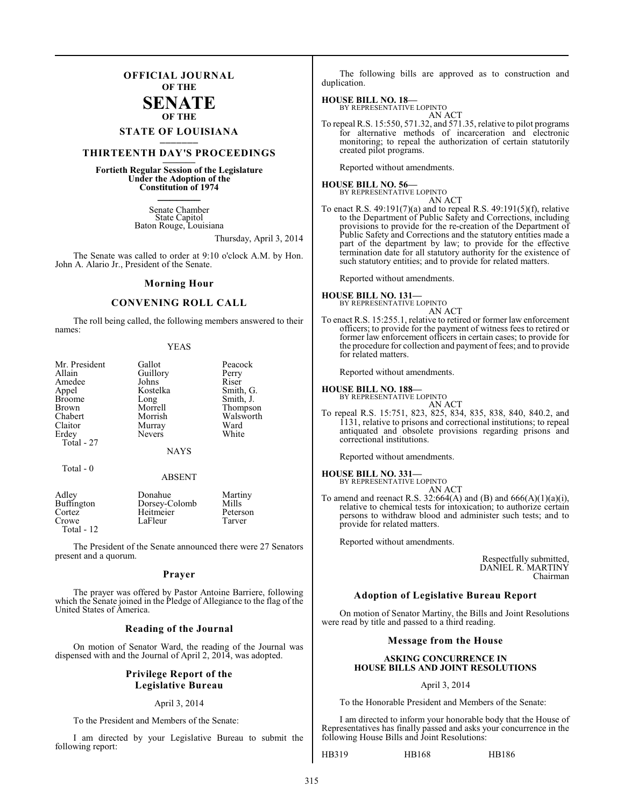## **OFFICIAL JOURNAL OF THE**

## **SENATE OF THE**

# **STATE OF LOUISIANA \_\_\_\_\_\_\_**

## **THIRTEENTH DAY'S PROCEEDINGS \_\_\_\_\_\_\_**

**Fortieth Regular Session of the Legislature Under the Adoption of the Constitution of 1974 \_\_\_\_\_\_\_**

> Senate Chamber State Capitol Baton Rouge, Louisiana

> > Thursday, April 3, 2014

The Senate was called to order at 9:10 o'clock A.M. by Hon. John A. Alario Jr., President of the Senate.

#### **Morning Hour**

## **CONVENING ROLL CALL**

The roll being called, the following members answered to their names:

| <b>YEAS</b> |
|-------------|
|             |

| Mr. President     | Gallot        | Peacock   |
|-------------------|---------------|-----------|
|                   |               |           |
| Allain            | Guillory      | Perry     |
| Amedee            | Johns         | Riser     |
| Appel             | Kostelka      | Smith, G. |
| <b>Broome</b>     | Long          | Smith, J. |
| <b>Brown</b>      | Morrell       | Thompson  |
| Chabert           | Morrish       | Walsworth |
| Claitor           | Murray        | Ward      |
| Erdey             | <b>Nevers</b> | White     |
| Total - 27        |               |           |
|                   | <b>NAYS</b>   |           |
| Total $-0$        |               |           |
|                   | <b>ABSENT</b> |           |
| Adley             | Donahue       | Martiny   |
| <b>Buffington</b> | Dorsey-Colomb | Mills     |
| Cortez            | Heitmeier     | Peterson  |
| Crowe             | LaFleur       | Tarver    |

Total - 12

The President of the Senate announced there were 27 Senators present and a quorum.

#### **Prayer**

The prayer was offered by Pastor Antoine Barriere, following which the Senate joined in the Pledge of Allegiance to the flag of the United States of America.

#### **Reading of the Journal**

On motion of Senator Ward, the reading of the Journal was dispensed with and the Journal of April 2, 2014, was adopted.

#### **Privilege Report of the Legislative Bureau**

#### April 3, 2014

To the President and Members of the Senate:

I am directed by your Legislative Bureau to submit the following report:

The following bills are approved as to construction and duplication.

#### **HOUSE BILL NO. 18—**

BY REPRESENTATIVE LOPINTO AN ACT

To repeal R.S. 15:550, 571.32, and 571.35, relative to pilot programs for alternative methods of incarceration and electronic monitoring; to repeal the authorization of certain statutorily created pilot programs.

Reported without amendments.

**HOUSE BILL NO. 56—** BY REPRESENTATIVE LOPINTO

AN ACT

To enact R.S. 49:191(7)(a) and to repeal R.S. 49:191(5)(f), relative to the Department of Public Safety and Corrections, including provisions to provide for the re-creation of the Department of Public Safety and Corrections and the statutory entities made a part of the department by law; to provide for the effective termination date for all statutory authority for the existence of such statutory entities; and to provide for related matters.

Reported without amendments.

#### **HOUSE BILL NO. 131—** BY REPRESENTATIVE LOPINTO

AN ACT

To enact R.S. 15:255.1, relative to retired or former law enforcement officers; to provide for the payment of witness fees to retired or former law enforcement officers in certain cases; to provide for the procedure for collection and payment of fees; and to provide for related matters.

Reported without amendments.

#### **HOUSE BILL NO. 188—**

BY REPRESENTATIVE LOPINTO

AN ACT To repeal R.S. 15:751, 823, 825, 834, 835, 838, 840, 840.2, and 1131, relative to prisons and correctional institutions; to repeal antiquated and obsolete provisions regarding prisons and correctional institutions.

Reported without amendments.

#### **HOUSE BILL NO. 331—**

BY REPRESENTATIVE LOPINTO

AN ACT To amend and reenact R.S.  $32:664(A)$  and  $(B)$  and  $666(A)(1)(a)(i)$ , relative to chemical tests for intoxication; to authorize certain persons to withdraw blood and administer such tests; and to provide for related matters.

Reported without amendments.

Respectfully submitted, DANIEL R. MARTINY Chairman

## **Adoption of Legislative Bureau Report**

On motion of Senator Martiny, the Bills and Joint Resolutions were read by title and passed to a third reading.

#### **Message from the House**

#### **ASKING CONCURRENCE IN HOUSE BILLS AND JOINT RESOLUTIONS**

April 3, 2014

To the Honorable President and Members of the Senate:

I am directed to inform your honorable body that the House of Representatives has finally passed and asks your concurrence in the following House Bills and Joint Resolutions:

HB319 HB168 HB186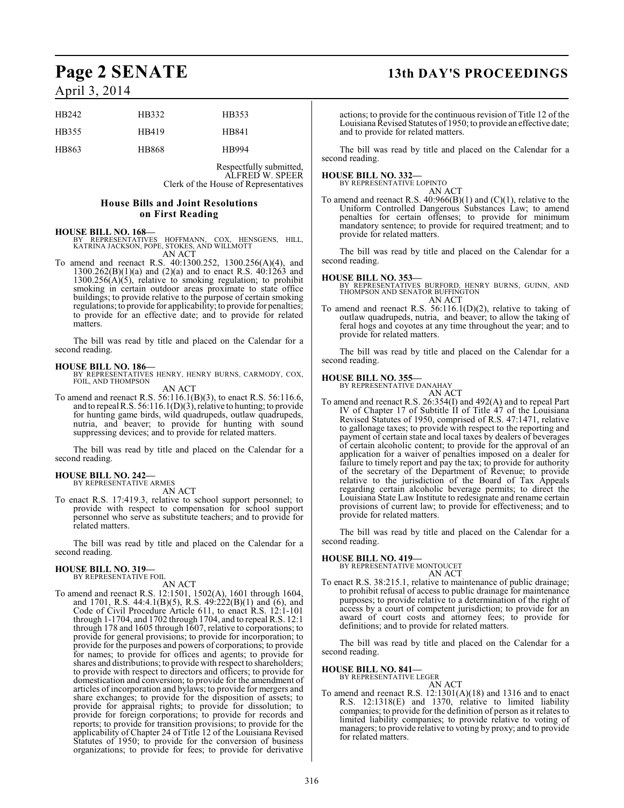| HB <sub>242</sub> | HB332 | HB353        |
|-------------------|-------|--------------|
| HB355             | HB419 | HB841        |
| HB863             | HB868 | <b>HB994</b> |

Respectfully submitted, ALFRED W. SPEER Clerk of the House of Representatives

#### **House Bills and Joint Resolutions on First Reading**

#### **HOUSE BILL NO. 168—**

- BY REPRESENTATIVES HOFFMANN, COX, HENSGENS, HILL, KATRINA JACKSON, POPE, STOKES, AND WILLMOTT AN ACT
- To amend and reenact R.S. 40:1300.252, 1300.256(A)(4), and  $1300.262(B)(1)(a)$  and  $(2)(a)$  and to enact R.S.  $40:1263$  and  $1300.256(A)(5)$ , relative to smoking regulation; to prohibit smoking in certain outdoor areas proximate to state office buildings; to provide relative to the purpose of certain smoking regulations; to provide for applicability; to provide for penalties; to provide for an effective date; and to provide for related matters.

The bill was read by title and placed on the Calendar for a second reading.

**HOUSE BILL NO. 186—** BY REPRESENTATIVES HENRY, HENRY BURNS, CARMODY, COX, FOIL, AND THOMPSON AN ACT

To amend and reenact R.S. 56:116.1(B)(3), to enact R.S. 56:116.6, and to repeal R.S. 56:116.1(D)(3), relative to hunting; to provide for hunting game birds, wild quadrupeds, outlaw quadrupeds, nutria, and beaver; to provide for hunting with sound suppressing devices; and to provide for related matters.

The bill was read by title and placed on the Calendar for a second reading.

#### **HOUSE BILL NO. 242—**

BY REPRESENTATIVE ARMES AN ACT

To enact R.S. 17:419.3, relative to school support personnel; to provide with respect to compensation for school support personnel who serve as substitute teachers; and to provide for related matters.

The bill was read by title and placed on the Calendar for a second reading.

# **HOUSE BILL NO. 319—** BY REPRESENTATIVE FOIL

AN ACT

To amend and reenact R.S. 12:1501, 1502(A), 1601 through 1604, and 1701, R.S. 44:4.1(B)(5), R.S. 49:222(B)(1) and (6), and Code of Civil Procedure Article 611, to enact R.S. 12:1-101 through 1-1704, and 1702 through 1704, and to repeal R.S. 12:1 through 178 and 1605 through 1607, relative to corporations; to provide for general provisions; to provide for incorporation; to provide for the purposes and powers of corporations; to provide for names; to provide for offices and agents; to provide for shares and distributions; to provide with respect to shareholders; to provide with respect to directors and officers; to provide for domestication and conversion; to provide for the amendment of articles of incorporation and bylaws; to provide for mergers and share exchanges; to provide for the disposition of assets; to provide for appraisal rights; to provide for dissolution; to provide for foreign corporations; to provide for records and reports; to provide for transition provisions; to provide for the applicability of Chapter 24 of Title 12 of the Louisiana Revised Statutes of 1950; to provide for the conversion of business organizations; to provide for fees; to provide for derivative

# **Page 2 SENATE 13th DAY'S PROCEEDINGS**

actions; to provide for the continuous revision of Title 12 of the Louisiana Revised Statutes of 1950; to provide an effective date; and to provide for related matters.

The bill was read by title and placed on the Calendar for a second reading.

#### **HOUSE BILL NO. 332—**

BY REPRESENTATIVE LOPINTO AN ACT

To amend and reenact R.S.  $40:966(B)(1)$  and  $(C)(1)$ , relative to the Uniform Controlled Dangerous Substances Law; to amend penalties for certain offenses; to provide for minimum mandatory sentence; to provide for required treatment; and to provide for related matters.

The bill was read by title and placed on the Calendar for a second reading.

#### **HOUSE BILL NO. 353—**

BY REPRESENTATIVES BURFORD, HENRY BURNS, GUINN, AND THOMPSON AND SENATOR BUFFINGTON AN ACT

To amend and reenact R.S. 56:116.1(D)(2), relative to taking of outlaw quadrupeds, nutria, and beaver; to allow the taking of feral hogs and coyotes at any time throughout the year; and to provide for related matters.

The bill was read by title and placed on the Calendar for a second reading.

# **HOUSE BILL NO. 355—** BY REPRESENTATIVE DANAHAY

AN ACT

To amend and reenact R.S. 26:354(I) and 492(A) and to repeal Part IV of Chapter 17 of Subtitle II of Title 47 of the Louisiana Revised Statutes of 1950, comprised of R.S. 47:1471, relative to gallonage taxes; to provide with respect to the reporting and payment of certain state and local taxes by dealers of beverages of certain alcoholic content; to provide for the approval of an application for a waiver of penalties imposed on a dealer for failure to timely report and pay the tax; to provide for authority of the secretary of the Department of Revenue; to provide relative to the jurisdiction of the Board of Tax Appeals regarding certain alcoholic beverage permits; to direct the Louisiana State Law Institute to redesignate and rename certain provisions of current law; to provide for effectiveness; and to provide for related matters.

The bill was read by title and placed on the Calendar for a second reading.

**HOUSE BILL NO. 419—** BY REPRESENTATIVE MONTOUCET

AN ACT To enact R.S. 38:215.1, relative to maintenance of public drainage; to prohibit refusal of access to public drainage for maintenance purposes; to provide relative to a determination of the right of access by a court of competent jurisdiction; to provide for an award of court costs and attorney fees; to provide for definitions; and to provide for related matters.

The bill was read by title and placed on the Calendar for a second reading.

#### **HOUSE BILL NO. 841—**

BY REPRESENTATIVE LEGER

AN ACT To amend and reenact R.S. 12:1301(A)(18) and 1316 and to enact R.S. 12:1318(E) and 1370, relative to limited liability companies; to provide for the definition of person as it relates to limited liability companies; to provide relative to voting of managers; to provide relative to voting by proxy; and to provide for related matters.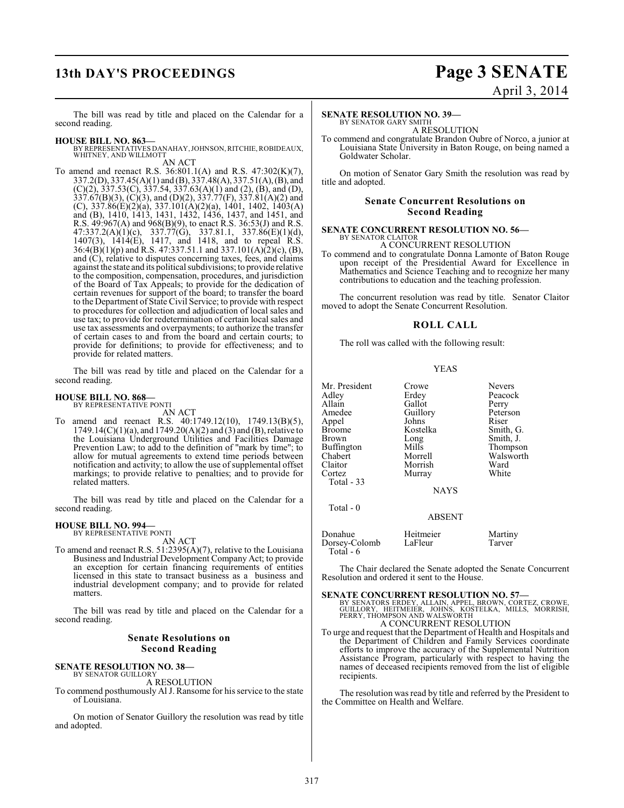# **13th DAY'S PROCEEDINGS Page 3 SENATE**

# April 3, 2014

The bill was read by title and placed on the Calendar for a second reading.

- **HOUSE BILL NO. 863—** BY REPRESENTATIVES DANAHAY, JOHNSON, RITCHIE, ROBIDEAUX, WHITNEY, AND WILLMOTT AN ACT
- To amend and reenact R.S. 36:801.1(A) and R.S. 47:302(K)(7), 337.2(D), 337.45(A)(1) and (B), 337.48(A), 337.51(A), (B), and  $(C)(2)$ , 337.53 $(C)$ , 337.54, 337.63 $(A)(1)$  and  $(2)$ ,  $(B)$ , and  $(D)$ , 337.67(B)(3), (C)(3), and (D)(2), 337.77(F), 337.81(A)(2) and (C), 337.86(E)(2)(a), 337.101(A)(2)(a), 1401, 1402, 1403(A) and (B), 1410, 1413, 1431, 1432, 1436, 1437, and 1451, and R.S. 49:967(A) and 968(B)(9), to enact R.S. 36:53(J) and R.S. 47:337.2(A)(1)(c), 337.77(G), 337.81.1, 337.86(E)(1)(d), 1407(3), 1414(E), 1417, and 1418, and to repeal R.S. 36:4(B)(1)(p) and R.S. 47:337.51.1 and 337.101(A)(2)(c), (B), and (C), relative to disputes concerning taxes, fees, and claims against the state and its political subdivisions; to provide relative to the composition, compensation, procedures, and jurisdiction of the Board of Tax Appeals; to provide for the dedication of certain revenues for support of the board; to transfer the board to the Department of State Civil Service; to provide with respect to procedures for collection and adjudication of local sales and use tax; to provide for redetermination of certain local sales and use tax assessments and overpayments; to authorize the transfer of certain cases to and from the board and certain courts; to provide for definitions; to provide for effectiveness; and to provide for related matters.

The bill was read by title and placed on the Calendar for a second reading.

# **HOUSE BILL NO. 868—** BY REPRESENTATIVE PONTI

AN ACT To amend and reenact R.S. 40:1749.12(10), 1749.13(B)(5), 1749.14(C)(1)(a), and 1749.20(A)(2) and (3) and (B), relative to the Louisiana Underground Utilities and Facilities Damage Prevention Law; to add to the definition of "mark by time"; to allow for mutual agreements to extend time periods between notification and activity; to allow the use of supplemental offset markings; to provide relative to penalties; and to provide for

The bill was read by title and placed on the Calendar for a second reading.

#### **HOUSE BILL NO. 994—** BY REPRESENTATIVE PONTI

related matters.

AN ACT

To amend and reenact R.S. 51:2395(A)(7), relative to the Louisiana Business and Industrial Development Company Act; to provide an exception for certain financing requirements of entities licensed in this state to transact business as a business and industrial development company; and to provide for related matters.

The bill was read by title and placed on the Calendar for a second reading.

## **Senate Resolutions on Second Reading**

#### **SENATE RESOLUTION NO. 38—** BY SENATOR GUILLORY

A RESOLUTION

To commend posthumously Al J. Ransome for hisservice to the state of Louisiana.

On motion of Senator Guillory the resolution was read by title and adopted.

#### **SENATE RESOLUTION NO. 39—**

BY SENATOR GARY SMITH A RESOLUTION

To commend and congratulate Brandon Oubre of Norco, a junior at Louisiana State University in Baton Rouge, on being named a Goldwater Scholar.

On motion of Senator Gary Smith the resolution was read by title and adopted.

#### **Senate Concurrent Resolutions on Second Reading**

#### **SENATE CONCURRENT RESOLUTION NO. 56—** BY SENATOR CLAITOR

A CONCURRENT RESOLUTION To commend and to congratulate Donna Lamonte of Baton Rouge upon receipt of the Presidential Award for Excellence in Mathematics and Science Teaching and to recognize her many contributions to education and the teaching profession.

The concurrent resolution was read by title. Senator Claitor moved to adopt the Senate Concurrent Resolution.

#### **ROLL CALL**

The roll was called with the following result:

#### YEAS

| Mr. President<br>Adley<br>Allain<br>Amedee<br>Appel<br>Broome<br>Brown<br>Buffington<br>Chabert<br>Claitor<br>Cortez<br>Total - 33<br>Total - 0 | Crowe<br>Erdey<br>Gallot<br>Guillory<br>Johns<br>Kostelka<br>Long<br>Mills<br>Morrell<br>Morrish<br>Murray<br><b>NAYS</b> | <b>Nevers</b><br>Peacock<br>Perry<br>Peterson<br>Riser<br>Smith, G.<br>Smith, J.<br>Thompson<br>Walsworth<br>Ward<br>White |
|-------------------------------------------------------------------------------------------------------------------------------------------------|---------------------------------------------------------------------------------------------------------------------------|----------------------------------------------------------------------------------------------------------------------------|
|                                                                                                                                                 | <b>ABSENT</b>                                                                                                             |                                                                                                                            |
| Donahue<br>Dorsey-Colomb<br>Total - 6                                                                                                           | Heitmeier<br>LaFleur                                                                                                      | Martiny<br>Tarver                                                                                                          |

The Chair declared the Senate adopted the Senate Concurrent Resolution and ordered it sent to the House.

**SENATE CONCURRENT RESOLUTION NO. 57—**<br>BY SENATORS ERDEY, ALLAIN, APPEL, BROWN, CORTEZ, CROWE,<br>GUILLORY, HEITMEIER, JOHNS, KOSTELKA, MILLS, MORRISH,<br>PERRY, THOMPSON AND WALSWORTH A CONCURRENT RESOLUTION

To urge and request that the Department of Health and Hospitals and the Department of Children and Family Services coordinate efforts to improve the accuracy of the Supplemental Nutrition Assistance Program, particularly with respect to having the names of deceased recipients removed from the list of eligible recipients.

The resolution was read by title and referred by the President to the Committee on Health and Welfare.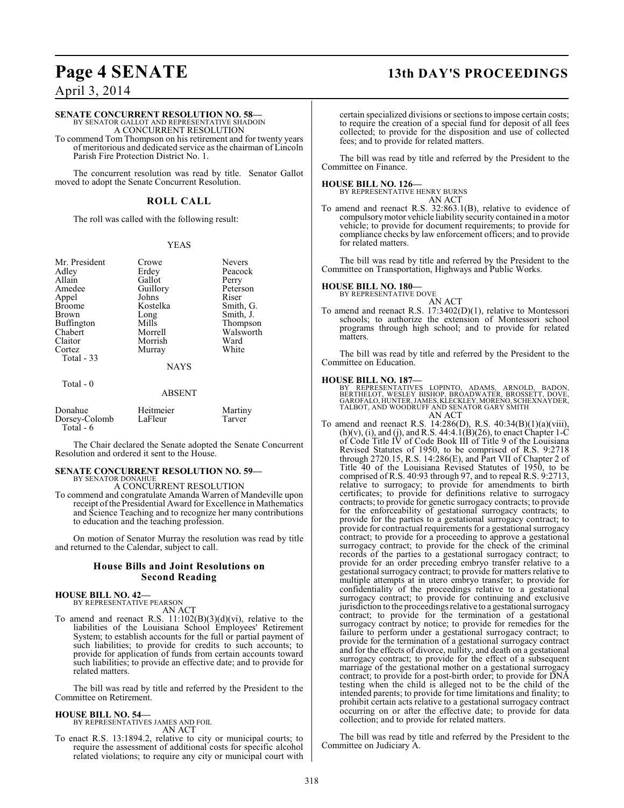# **Page 4 SENATE 13th DAY'S PROCEEDINGS**

April 3, 2014

#### **SENATE CONCURRENT RESOLUTION NO. 58—**

BY SENATOR GALLOT AND REPRESENTATIVE SHADOIN A CONCURRENT RESOLUTION

To commend Tom Thompson on his retirement and for twenty years of meritorious and dedicated service as the chairman of Lincoln Parish Fire Protection District No. 1.

The concurrent resolution was read by title. Senator Gallot moved to adopt the Senate Concurrent Resolution.

#### **ROLL CALL**

The roll was called with the following result:

#### YEAS

| Mr. President           | Crowe       | <b>Nevers</b> |
|-------------------------|-------------|---------------|
| Adley                   | Erdey       | Peacock       |
| Allain                  | Gallot      | Perry         |
| Amedee                  | Guillory    | Peterson      |
| Appel                   | Johns       | Riser         |
| <b>Broome</b>           | Kostelka    | Smith, G.     |
| Brown                   | Long        | Smith, J.     |
| Buffington              | Mills       | Thompson      |
| Chabert                 | Morrell     | Walsworth     |
| Claitor                 | Morrish     | Ward          |
| Cortez                  | Murray      | White         |
| Total - 33<br>Total - 0 | <b>NAYS</b> |               |

### ABSENT Donahue Heitmeier Martiny<br>Dorsey-Colomb LaFleur Tarver Dorsey-Colomb Total - 6

The Chair declared the Senate adopted the Senate Concurrent Resolution and ordered it sent to the House.

#### **SENATE CONCURRENT RESOLUTION NO. 59—** BY SENATOR DONAHUE

A CONCURRENT RESOLUTION

To commend and congratulate Amanda Warren of Mandeville upon receipt of the Presidential Award for Excellence in Mathematics and Science Teaching and to recognize her many contributions to education and the teaching profession.

On motion of Senator Murray the resolution was read by title and returned to the Calendar, subject to call.

### **House Bills and Joint Resolutions on Second Reading**

#### **HOUSE BILL NO. 42—**

BY REPRESENTATIVE PEARSON AN ACT

To amend and reenact R.S.  $11:102(B)(3)(d)(vi)$ , relative to the liabilities of the Louisiana School Employees' Retirement System; to establish accounts for the full or partial payment of such liabilities; to provide for credits to such accounts; to provide for application of funds from certain accounts toward such liabilities; to provide an effective date; and to provide for related matters.

The bill was read by title and referred by the President to the Committee on Retirement.

#### **HOUSE BILL NO. 54—**

BY REPRESENTATIVES JAMES AND FOIL AN ACT

To enact R.S. 13:1894.2, relative to city or municipal courts; to require the assessment of additional costs for specific alcohol related violations; to require any city or municipal court with

certain specialized divisions or sections to impose certain costs; to require the creation of a special fund for deposit of all fees collected; to provide for the disposition and use of collected fees; and to provide for related matters.

The bill was read by title and referred by the President to the Committee on Finance.

**HOUSE BILL NO. 126—** BY REPRESENTATIVE HENRY BURNS AN ACT

To amend and reenact R.S. 32:863.1(B), relative to evidence of compulsory motor vehicle liability security contained in a motor vehicle; to provide for document requirements; to provide for compliance checks by law enforcement officers; and to provide for related matters.

The bill was read by title and referred by the President to the Committee on Transportation, Highways and Public Works.

#### **HOUSE BILL NO. 180—**

BY REPRESENTATIVE DOVE AN ACT

To amend and reenact R.S. 17:3402(D)(1), relative to Montessori schools; to authorize the extension of Montessori school programs through high school; and to provide for related matters.

The bill was read by title and referred by the President to the Committee on Education.

**HOUSE BILL NO. 187—**<br>BY REPRESENTATIVES LOPINTO, ADAMS, ARNOLD, BADON,<br>BERTHELOT, WESLEY BISHOP, BROADWATER, BROSSETT, DOVE,<br>GAROFALO, HUNTER, JAMES, KLECKLEY, MORENO, SCHEXNAYDER,<br>TALBOT, AND WOODRUFF AND SENATOR GARY SM AN ACT

To amend and reenact R.S. 14:286(D), R.S. 40:34(B)(1)(a)(viii),  $(h)(v)$ , (i), and (j), and R.S. 44:4.1(B)(26), to enact Chapter 1-C of Code Title IV of Code Book III of Title 9 of the Louisiana Revised Statutes of 1950, to be comprised of R.S. 9:2718 through 2720.15, R.S. 14:286(E), and Part VII of Chapter 2 of Title 40 of the Louisiana Revised Statutes of 1950, to be comprised of R.S. 40:93 through 97, and to repeal R.S. 9:2713, relative to surrogacy; to provide for amendments to birth certificates; to provide for definitions relative to surrogacy contracts; to provide for genetic surrogacy contracts; to provide for the enforceability of gestational surrogacy contracts; to provide for the parties to a gestational surrogacy contract; to provide for contractual requirements for a gestational surrogacy contract; to provide for a proceeding to approve a gestational surrogacy contract; to provide for the check of the criminal records of the parties to a gestational surrogacy contract; to provide for an order preceding embryo transfer relative to a gestational surrogacy contract; to provide for matters relative to multiple attempts at in utero embryo transfer; to provide for confidentiality of the proceedings relative to a gestational surrogacy contract; to provide for continuing and exclusive jurisdiction to the proceedings relative to a gestational surrogacy contract; to provide for the termination of a gestational surrogacy contract by notice; to provide for remedies for the failure to perform under a gestational surrogacy contract; to provide for the termination of a gestational surrogacy contract and for the effects of divorce, nullity, and death on a gestational surrogacy contract; to provide for the effect of a subsequent marriage of the gestational mother on a gestational surrogacy contract; to provide for a post-birth order; to provide for DNA testing when the child is alleged not to be the child of the intended parents; to provide for time limitations and finality; to prohibit certain acts relative to a gestational surrogacy contract occurring on or after the effective date; to provide for data collection; and to provide for related matters.

The bill was read by title and referred by the President to the Committee on Judiciary A.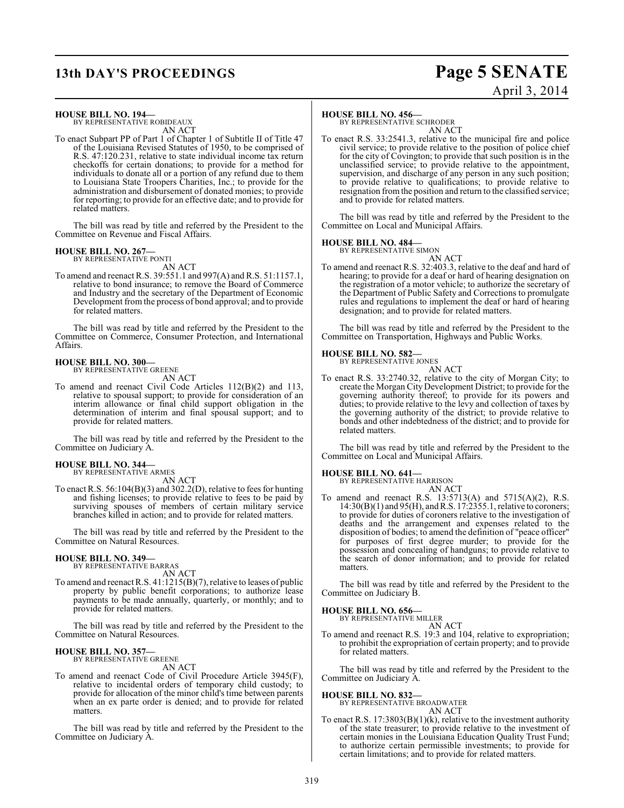# **13th DAY'S PROCEEDINGS Page 5 SENATE**

# April 3, 2014

#### **HOUSE BILL NO. 194—**

BY REPRESENTATIVE ROBIDEAUX AN ACT

To enact Subpart PP of Part 1 of Chapter 1 of Subtitle II of Title 47 of the Louisiana Revised Statutes of 1950, to be comprised of R.S. 47:120.231, relative to state individual income tax return checkoffs for certain donations; to provide for a method for individuals to donate all or a portion of any refund due to them to Louisiana State Troopers Charities, Inc.; to provide for the administration and disbursement of donated monies; to provide for reporting; to provide for an effective date; and to provide for related matters.

The bill was read by title and referred by the President to the Committee on Revenue and Fiscal Affairs.

# **HOUSE BILL NO. 267—** BY REPRESENTATIVE PONTI

AN ACT

To amend and reenact R.S. 39:551.1 and 997(A) and R.S. 51:1157.1, relative to bond insurance; to remove the Board of Commerce and Industry and the secretary of the Department of Economic Development from the process of bond approval; and to provide for related matters.

The bill was read by title and referred by the President to the Committee on Commerce, Consumer Protection, and International Affairs.

# **HOUSE BILL NO. 300—** BY REPRESENTATIVE GREENE

AN ACT

To amend and reenact Civil Code Articles 112(B)(2) and 113, relative to spousal support; to provide for consideration of an interim allowance or final child support obligation in the determination of interim and final spousal support; and to provide for related matters.

The bill was read by title and referred by the President to the Committee on Judiciary A.

#### **HOUSE BILL NO. 344—** BY REPRESENTATIVE ARMES

AN ACT

To enact R.S. 56:104(B)(3) and 302.2(D), relative to fees for hunting and fishing licenses; to provide relative to fees to be paid by surviving spouses of members of certain military service branches killed in action; and to provide for related matters.

The bill was read by title and referred by the President to the Committee on Natural Resources.

#### **HOUSE BILL NO. 349—**

BY REPRESENTATIVE BARRAS AN ACT

To amend and reenactR.S. 41:1215(B)(7), relative to leases of public property by public benefit corporations; to authorize lease payments to be made annually, quarterly, or monthly; and to provide for related matters.

The bill was read by title and referred by the President to the Committee on Natural Resources.

#### **HOUSE BILL NO. 357—** BY REPRESENTATIVE GREENE

AN ACT

To amend and reenact Code of Civil Procedure Article 3945(F), relative to incidental orders of temporary child custody; to provide for allocation of the minor child's time between parents when an ex parte order is denied; and to provide for related matters.

The bill was read by title and referred by the President to the Committee on Judiciary A.

#### **HOUSE BILL NO. 456—**

BY REPRESENTATIVE SCHRODER AN ACT

To enact R.S. 33:2541.3, relative to the municipal fire and police civil service; to provide relative to the position of police chief for the city of Covington; to provide that such position is in the unclassified service; to provide relative to the appointment, supervision, and discharge of any person in any such position; to provide relative to qualifications; to provide relative to resignation from the position and return to the classified service; and to provide for related matters.

The bill was read by title and referred by the President to the Committee on Local and Municipal Affairs.

# **HOUSE BILL NO. 484—** BY REPRESENTATIVE SIMON

AN ACT To amend and reenact R.S. 32:403.3, relative to the deaf and hard of hearing; to provide for a deaf or hard of hearing designation on the registration of a motor vehicle; to authorize the secretary of the Department of Public Safety and Corrections to promulgate rules and regulations to implement the deaf or hard of hearing designation; and to provide for related matters.

The bill was read by title and referred by the President to the Committee on Transportation, Highways and Public Works.

# **HOUSE BILL NO. 582—** BY REPRESENTATIVE JONES

AN ACT

To enact R.S. 33:2740.32, relative to the city of Morgan City; to create the Morgan City Development District; to provide for the governing authority thereof; to provide for its powers and duties; to provide relative to the levy and collection of taxes by the governing authority of the district; to provide relative to bonds and other indebtedness of the district; and to provide for related matters.

The bill was read by title and referred by the President to the Committee on Local and Municipal Affairs.

#### **HOUSE BILL NO. 641—**

BY REPRESENTATIVE HARRISON

AN ACT To amend and reenact R.S. 13:5713(A) and 5715(A)(2), R.S. 14:30(B)(1) and 95(H), and R.S. 17:2355.1, relative to coroners; to provide for duties of coroners relative to the investigation of deaths and the arrangement and expenses related to the disposition of bodies; to amend the definition of "peace officer" for purposes of first degree murder; to provide for the possession and concealing of handguns; to provide relative to the search of donor information; and to provide for related matters.

The bill was read by title and referred by the President to the Committee on Judiciary B.

#### **HOUSE BILL NO. 656—**

BY REPRESENTATIVE MILLER

AN ACT To amend and reenact R.S. 19:3 and 104, relative to expropriation; to prohibit the expropriation of certain property; and to provide for related matters.

The bill was read by title and referred by the President to the Committee on Judiciary A.

**HOUSE BILL NO. 832—** BY REPRESENTATIVE BROADWATER AN ACT

To enact R.S. 17:3803(B)(1)(k), relative to the investment authority of the state treasurer; to provide relative to the investment of certain monies in the Louisiana Education Quality Trust Fund; to authorize certain permissible investments; to provide for certain limitations; and to provide for related matters.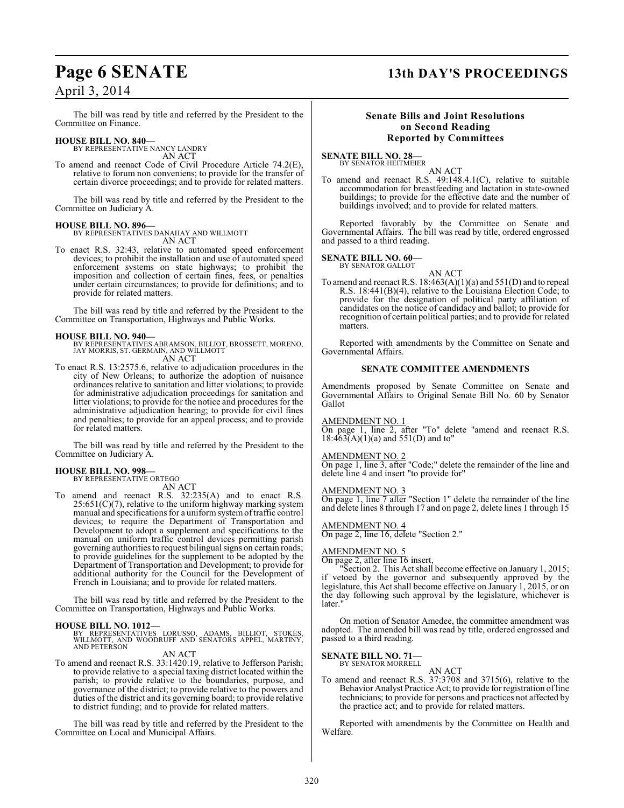# **Page 6 SENATE 13th DAY'S PROCEEDINGS**

## April 3, 2014

The bill was read by title and referred by the President to the Committee on Finance.

#### **HOUSE BILL NO. 840—**

BY REPRESENTATIVE NANCY LANDRY AN ACT

To amend and reenact Code of Civil Procedure Article 74.2(E), relative to forum non conveniens; to provide for the transfer of certain divorce proceedings; and to provide for related matters.

The bill was read by title and referred by the President to the Committee on Judiciary A.

#### **HOUSE BILL NO. 896—**

BY REPRESENTATIVES DANAHAY AND WILLMOTT AN ACT

To enact R.S. 32:43, relative to automated speed enforcement devices; to prohibit the installation and use of automated speed enforcement systems on state highways; to prohibit the imposition and collection of certain fines, fees, or penalties under certain circumstances; to provide for definitions; and to provide for related matters.

The bill was read by title and referred by the President to the Committee on Transportation, Highways and Public Works.

#### **HOUSE BILL NO. 940—**

BY REPRESENTATIVES ABRAMSON, BILLIOT, BROSSETT, MORENO, JAY MORRIS, ST. GERMAIN, AND WILLMOTT AN ACT

To enact R.S. 13:2575.6, relative to adjudication procedures in the city of New Orleans; to authorize the adoption of nuisance ordinances relative to sanitation and litter violations; to provide for administrative adjudication proceedings for sanitation and litter violations; to provide for the notice and procedures for the administrative adjudication hearing; to provide for civil fines and penalties; to provide for an appeal process; and to provide for related matters.

The bill was read by title and referred by the President to the Committee on Judiciary A.

#### **HOUSE BILL NO. 998—** BY REPRESENTATIVE ORTEGO

AN ACT

To amend and reenact R.S. 32:235(A) and to enact R.S.  $25:651(C)(7)$ , relative to the uniform highway marking system manual and specifications for a uniform system of traffic control devices; to require the Department of Transportation and Development to adopt a supplement and specifications to the manual on uniform traffic control devices permitting parish governing authorities to request bilingual signs on certain roads; to provide guidelines for the supplement to be adopted by the Department of Transportation and Development; to provide for additional authority for the Council for the Development of French in Louisiana; and to provide for related matters.

The bill was read by title and referred by the President to the Committee on Transportation, Highways and Public Works.

**HOUSE BILL NO. 1012—** BY REPRESENTATIVES LORUSSO, ADAMS, BILLIOT, STOKES, WILLMOTT, AND WOODRUFF AND SENATORS APPEL, MARTINY, AND PETERSON

AN ACT

To amend and reenact R.S. 33:1420.19, relative to Jefferson Parish; to provide relative to a special taxing district located within the parish; to provide relative to the boundaries, purpose, and governance of the district; to provide relative to the powers and duties of the district and its governing board; to provide relative to district funding; and to provide for related matters.

The bill was read by title and referred by the President to the Committee on Local and Municipal Affairs.

#### **Senate Bills and Joint Resolutions on Second Reading Reported by Committees**

**SENATE BILL NO. 28—** BY SENATOR HEITMEIER

AN ACT

To amend and reenact R.S. 49:148.4.1(C), relative to suitable accommodation for breastfeeding and lactation in state-owned buildings; to provide for the effective date and the number of buildings involved; and to provide for related matters.

Reported favorably by the Committee on Senate and Governmental Affairs. The bill was read by title, ordered engrossed and passed to a third reading.

**SENATE BILL NO. 60—** BY SENATOR GALLOT

AN ACT

To amend and reenact R.S.  $18:463(A)(1)(a)$  and  $551(D)$  and to repeal R.S. 18:441(B)(4), relative to the Louisiana Election Code; to provide for the designation of political party affiliation of candidates on the notice of candidacy and ballot; to provide for recognition of certain political parties; and to provide for related matters.

Reported with amendments by the Committee on Senate and Governmental Affairs.

#### **SENATE COMMITTEE AMENDMENTS**

Amendments proposed by Senate Committee on Senate and Governmental Affairs to Original Senate Bill No. 60 by Senator Gallot

### AMENDMENT NO. 1

On page 1, line 2, after "To" delete "amend and reenact R.S.  $18:463(A)(1)(a)$  and  $551(D)$  and to"

#### AMENDMENT NO. 2

On page 1, line 3, after "Code;" delete the remainder of the line and delete line 4 and insert "to provide for"

#### AMENDMENT NO. 3

On page 1, line 7 after "Section 1" delete the remainder of the line and delete lines 8 through 17 and on page 2, delete lines 1 through 15

#### AMENDMENT NO. 4

On page 2, line 16, delete "Section 2."

#### AMENDMENT NO. 5

On page 2, after line 16 insert,

"Section 2. This Act shall become effective on January 1, 2015; if vetoed by the governor and subsequently approved by the legislature, this Act shall become effective on January 1, 2015, or on the day following such approval by the legislature, whichever is later."

On motion of Senator Amedee, the committee amendment was adopted. The amended bill was read by title, ordered engrossed and passed to a third reading.

# **SENATE BILL NO. 71—**<br>BY SENATOR MORRELL

AN ACT To amend and reenact R.S. 37:3708 and 3715(6), relative to the Behavior Analyst Practice Act; to provide for registration of line technicians; to provide for persons and practices not affected by the practice act; and to provide for related matters.

Reported with amendments by the Committee on Health and Welfare.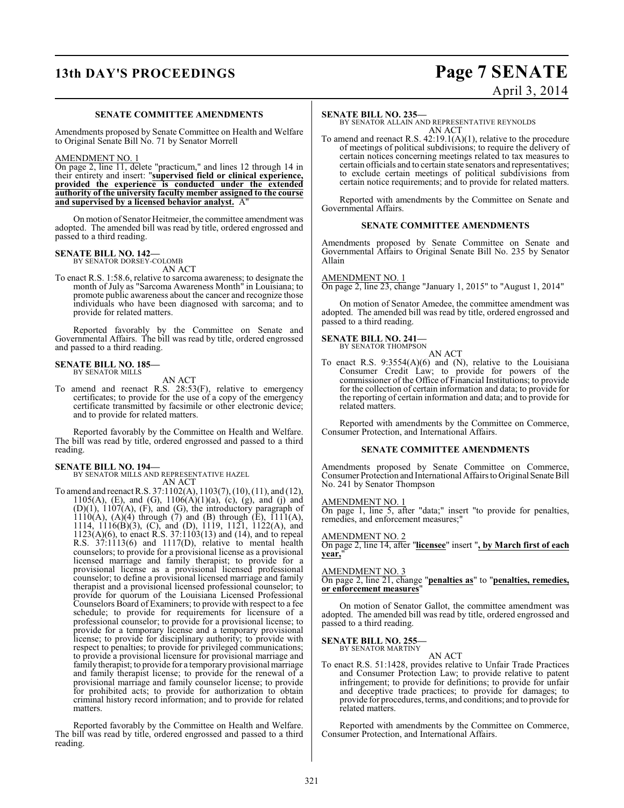# **13th DAY'S PROCEEDINGS Page 7 SENATE**

# April 3, 2014

#### **SENATE COMMITTEE AMENDMENTS**

Amendments proposed by Senate Committee on Health and Welfare to Original Senate Bill No. 71 by Senator Morrell

#### AMENDMENT NO. 1

On page 2, line 11, delete "practicum," and lines 12 through 14 in their entirety and insert: "**supervised field or clinical experience, provided the experience is conducted under the extended authority of the university faculty member assigned to the course and supervised by a licensed behavior analyst.** A"

On motion of Senator Heitmeier, the committee amendment was adopted. The amended bill was read by title, ordered engrossed and passed to a third reading.

# **SENATE BILL NO. 142—** BY SENATOR DORSEY-COLOMB

AN ACT

To enact R.S. 1:58.6, relative to sarcoma awareness; to designate the month of July as "Sarcoma Awareness Month" in Louisiana; to promote public awareness about the cancer and recognize those individuals who have been diagnosed with sarcoma; and to provide for related matters.

Reported favorably by the Committee on Senate and Governmental Affairs. The bill was read by title, ordered engrossed and passed to a third reading.

#### **SENATE BILL NO. 185—** BY SENATOR MILLS

AN ACT

To amend and reenact R.S. 28:53(F), relative to emergency certificates; to provide for the use of a copy of the emergency certificate transmitted by facsimile or other electronic device; and to provide for related matters.

Reported favorably by the Committee on Health and Welfare. The bill was read by title, ordered engrossed and passed to a third reading.

# **SENATE BILL NO. 194—** BY SENATOR MILLS AND REPRESENTATIVE HAZEL

## AN ACT

To amend and reenact R.S. 37:1102(A), 1103(7), (10), (11), and (12), 1105(A), (E), and (G),  $1106(A)(1)(a)$ , (c), (g), and (j) and  $(D)(1)$ ,  $1107(A)$ ,  $(F)$ , and  $(G)$ , the introductory paragraph of  $1110(A)$ ,  $(A)(4)$  through  $(7)$  and  $(B)$  through  $(E)$ ,  $1111(A)$ , 1114, 1116(B)(3), (C), and (D), 1119, 1121, 1122(A), and 1123(A)(6), to enact R.S. 37:1103(13) and (14), and to repeal R.S. 37:1113(6) and 1117(D), relative to mental health counselors; to provide for a provisional license as a provisional licensed marriage and family therapist; to provide for a provisional license as a provisional licensed professional counselor; to define a provisional licensed marriage and family therapist and a provisional licensed professional counselor; to provide for quorum of the Louisiana Licensed Professional Counselors Board of Examiners; to provide with respect to a fee schedule; to provide for requirements for licensure of a professional counselor; to provide for a provisional license; to provide for a temporary license and a temporary provisional license; to provide for disciplinary authority; to provide with respect to penalties; to provide for privileged communications; to provide a provisional licensure for provisional marriage and family therapist; to provide for a temporary provisional marriage and family therapist license; to provide for the renewal of a provisional marriage and family counselor license; to provide for prohibited acts; to provide for authorization to obtain criminal history record information; and to provide for related matters.

Reported favorably by the Committee on Health and Welfare. The bill was read by title, ordered engrossed and passed to a third reading.

#### **SENATE BILL NO. 235—**

BY SENATOR ALLAIN AND REPRESENTATIVE REYNOLDS AN ACT

To amend and reenact R.S. 42:19.1(A)(1), relative to the procedure of meetings of political subdivisions; to require the delivery of certain notices concerning meetings related to tax measures to certain officials and to certain state senators and representatives; to exclude certain meetings of political subdivisions from certain notice requirements; and to provide for related matters.

Reported with amendments by the Committee on Senate and Governmental Affairs.

#### **SENATE COMMITTEE AMENDMENTS**

Amendments proposed by Senate Committee on Senate and Governmental Affairs to Original Senate Bill No. 235 by Senator Allain

#### AMENDMENT NO. 1

On page 2, line 23, change "January 1, 2015" to "August 1, 2014"

On motion of Senator Amedee, the committee amendment was adopted. The amended bill was read by title, ordered engrossed and passed to a third reading.

# **SENATE BILL NO. 241—**<br>BY SENATOR THOMPSON

AN ACT

To enact R.S. 9:3554(A)(6) and (N), relative to the Louisiana Consumer Credit Law; to provide for powers of the commissioner of the Office of Financial Institutions; to provide for the collection of certain information and data; to provide for the reporting of certain information and data; and to provide for related matters.

Reported with amendments by the Committee on Commerce, Consumer Protection, and International Affairs.

#### **SENATE COMMITTEE AMENDMENTS**

Amendments proposed by Senate Committee on Commerce, Consumer Protection and International Affairs to Original Senate Bill No. 241 by Senator Thompson

#### AMENDMENT NO. 1

On page 1, line 5, after "data;" insert "to provide for penalties, remedies, and enforcement measures;"

#### AMENDMENT NO. 2

On page 2, line 14, after "**licensee**" insert "**, by March first of each year,**"

#### AMENDMENT NO. 3

On page 2, line 21, change "**penalties as**" to "**penalties, remedies, or enforcement measures**"

On motion of Senator Gallot, the committee amendment was adopted. The amended bill was read by title, ordered engrossed and passed to a third reading.

### **SENATE BILL NO. 255—**

BY SENATOR MARTINY AN ACT

To enact R.S. 51:1428, provides relative to Unfair Trade Practices and Consumer Protection Law; to provide relative to patent infringement; to provide for definitions; to provide for unfair and deceptive trade practices; to provide for damages; to provide for procedures, terms, and conditions; and to provide for related matters.

Reported with amendments by the Committee on Commerce, Consumer Protection, and International Affairs.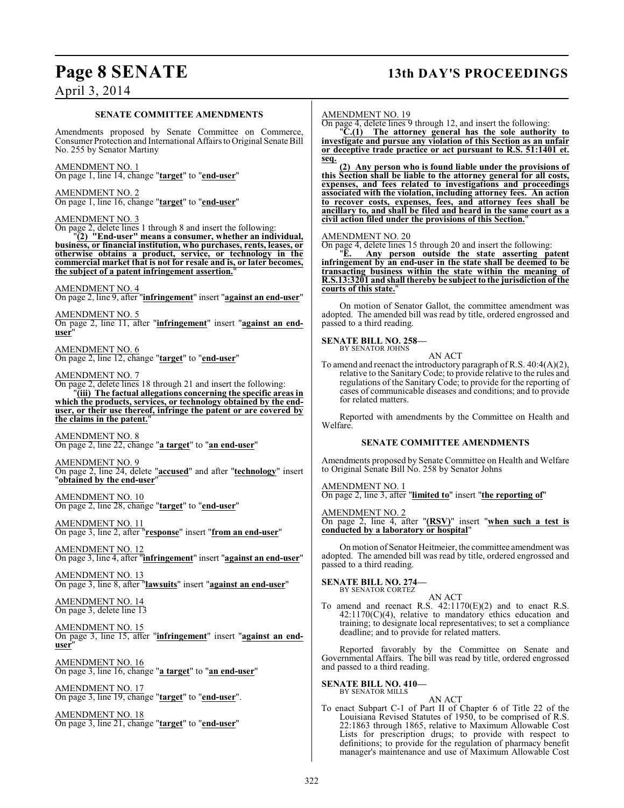# **Page 8 SENATE 13th DAY'S PROCEEDINGS**

## April 3, 2014

#### **SENATE COMMITTEE AMENDMENTS**

Amendments proposed by Senate Committee on Commerce, Consumer Protection and International Affairs to Original Senate Bill No. 255 by Senator Martiny

AMENDMENT NO. 1 On page 1, line 14, change "**target**" to "**end-user**"

#### AMENDMENT NO. 2

On page 1, line 16, change "**target**" to "**end-user**"

#### AMENDMENT NO. 3

On page 2, delete lines 1 through 8 and insert the following: "**(2) "End-user" means a consumer, whether an individual, business, or financial institution, who purchases, rents, leases, or otherwise obtains a product, service, or technology in the commercial market that is not for resale and is, or later becomes, the subject of a patent infringement assertion.**"

#### AMENDMENT NO. 4

On page 2, line 9, after "**infringement**" insert "**against an end-user**"

AMENDMENT NO. 5

On page 2, line 11, after "**infringement**" insert "**against an enduser**"

AMENDMENT NO. 6 On page 2, line 12, change "**target**" to "**end-user**"

#### AMENDMENT NO. 7

On page 2, delete lines 18 through 21 and insert the following: "**(iii) The factual allegations concerning the specific areas in which the products, services, or technology obtained by the enduser, or their use thereof, infringe the patent or are covered by the claims in the patent.**"

AMENDMENT NO. 8 On page 2, line 22, change "**a target**" to "**an end-user**"

AMENDMENT NO. 9 On page 2, line 24, delete "**accused**" and after "**technology**" insert "**obtained by the end-user**"

AMENDMENT NO. 10 On page 2, line 28, change "**target**" to "**end-user**"

AMENDMENT NO. 11 On page 3, line 2, after "**response**" insert "**from an end-user**"

AMENDMENT NO. 12 On page 3, line 4, after "**infringement**" insert "**against an end-user**"

AMENDMENT NO. 13 On page 3, line 8, after "**lawsuits**" insert "**against an end-user**"

AMENDMENT NO. 14 On page 3, delete line 13

AMENDMENT NO. 15 On page 3, line 15, after "**infringement**" insert "**against an enduser**"

AMENDMENT NO. 16 On page 3, line 16, change "**a target**" to "**an end-user**"

AMENDMENT NO. 17 On page 3, line 19, change "**target**" to "**end-user**".

AMENDMENT NO. 18 On page 3, line 21, change "**target**" to "**end-user**"

#### AMENDMENT NO. 19

On page 4, delete lines 9 through 12, and insert the following:

"**C.(1) The attorney general has the sole authority to investigate and pursue any violation of this Section as an unfair or deceptive trade practice or act pursuant to R.S. 51:1401 et. seq.**

**(2) Any person who is found liable under the provisions of this Section shall be liable to the attorney general for all costs, expenses, and fees related to investigations and proceedings associated with the violation, including attorney fees. An action to recover costs, expenses, fees, and attorney fees shall be ancillary to, and shall be filed and heard in the same court as a civil action filed under the provisions of this Section.**"

#### AMENDMENT NO. 20

On page 4, delete lines 15 through 20 and insert the following:

"**E. Any person outside the state asserting patent infringement by an end-user in the state shall be deemed to be transacting business within the state within the meaning of R.S.13:3201 and shall thereby be subject to the jurisdiction of the courts of this state.**"

On motion of Senator Gallot, the committee amendment was adopted. The amended bill was read by title, ordered engrossed and passed to a third reading.

# **SENATE BILL NO. 258—** BY SENATOR JOHNS

AN ACT

To amend and reenact the introductory paragraph of R.S. 40:4(A)(2), relative to the Sanitary Code; to provide relative to the rules and regulations of the Sanitary Code; to provide for the reporting of cases of communicable diseases and conditions; and to provide for related matters.

Reported with amendments by the Committee on Health and Welfare.

#### **SENATE COMMITTEE AMENDMENTS**

Amendments proposed by Senate Committee on Health and Welfare to Original Senate Bill No. 258 by Senator Johns

AMENDMENT NO. 1

On page 2, line 3, after "**limited to**" insert "**the reporting of**"

AMENDMENT NO. 2

On page 2, line 4, after "**(RSV)**" insert "**when such a test is conducted by a laboratory or hospital**"

On motion of Senator Heitmeier, the committee amendment was adopted. The amended bill was read by title, ordered engrossed and passed to a third reading.

# **SENATE BILL NO. 274—** BY SENATOR CORTEZ

AN ACT To amend and reenact R.S. 42:1170(E)(2) and to enact R.S. 42:1170(C)(4), relative to mandatory ethics education and training; to designate local representatives; to set a compliance deadline; and to provide for related matters.

Reported favorably by the Committee on Senate and Governmental Affairs. The bill was read by title, ordered engrossed and passed to a third reading.

#### **SENATE BILL NO. 410—**

BY SENATOR MILLS

AN ACT

To enact Subpart C-1 of Part II of Chapter 6 of Title 22 of the Louisiana Revised Statutes of 1950, to be comprised of R.S. 22:1863 through 1865, relative to Maximum Allowable Cost Lists for prescription drugs; to provide with respect to definitions; to provide for the regulation of pharmacy benefit manager's maintenance and use of Maximum Allowable Cost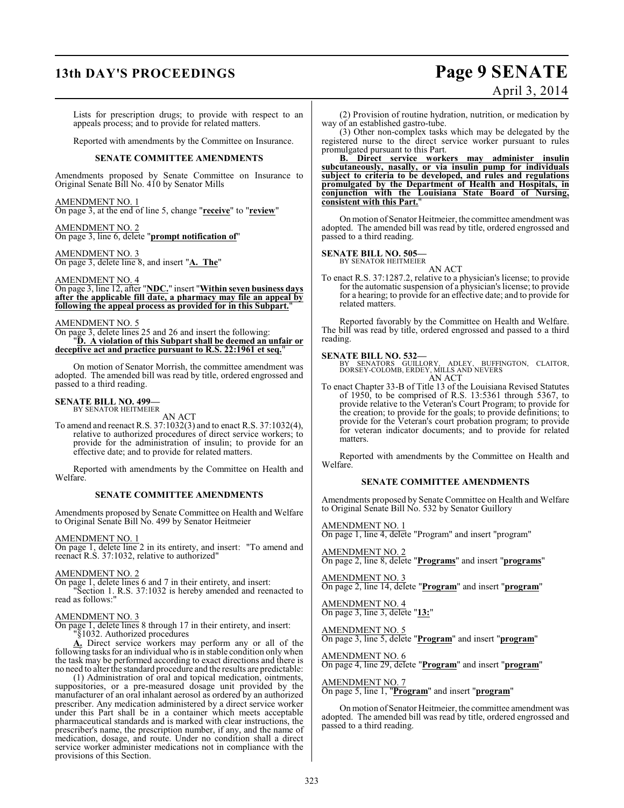# **13th DAY'S PROCEEDINGS Page 9 SENATE**

# April 3, 2014

Lists for prescription drugs; to provide with respect to an appeals process; and to provide for related matters.

Reported with amendments by the Committee on Insurance.

#### **SENATE COMMITTEE AMENDMENTS**

Amendments proposed by Senate Committee on Insurance to Original Senate Bill No. 410 by Senator Mills

AMENDMENT NO. 1 On page 3, at the end of line 5, change "**receive**" to "**review**"

AMENDMENT NO. 2 On page 3, line 6, delete "**prompt notification of**"

AMENDMENT NO. 3 On page 3, delete line 8, and insert "**A. The**"

#### AMENDMENT NO. 4

On page 3, line 12, after "**NDC.**" insert "**Within seven business days after the applicable fill date, a pharmacy may file an appeal by following the appeal process as provided for in this Subpart.**"

#### AMENDMENT NO. 5

On page 3, delete lines 25 and 26 and insert the following: "**D. A violation of this Subpart shall be deemed an unfair or deceptive act and practice pursuant to R.S. 22:1961 et seq.**"

On motion of Senator Morrish, the committee amendment was adopted. The amended bill was read by title, ordered engrossed and passed to a third reading.

#### **SENATE BILL NO. 499—** BY SENATOR HEITMEIER

AN ACT

To amend and reenact R.S. 37:1032(3) and to enact R.S. 37:1032(4), relative to authorized procedures of direct service workers; to provide for the administration of insulin; to provide for an effective date; and to provide for related matters.

Reported with amendments by the Committee on Health and Welfare.

#### **SENATE COMMITTEE AMENDMENTS**

Amendments proposed by Senate Committee on Health and Welfare to Original Senate Bill No. 499 by Senator Heitmeier

AMENDMENT NO. 1

On page 1, delete line 2 in its entirety, and insert: "To amend and reenact R.S. 37:1032, relative to authorized"

#### AMENDMENT NO. 2

On page 1, delete lines 6 and 7 in their entirety, and insert:

"Section 1. R.S. 37:1032 is hereby amended and reenacted to read as follows:"

#### AMENDMENT NO. 3

On page 1, delete lines 8 through 17 in their entirety, and insert:

"§1032. Authorized procedures

**A.** Direct service workers may perform any or all of the following tasks for an individual who is in stable condition only when the task may be performed according to exact directions and there is no need to alter the standard procedure and the results are predictable:

(1) Administration of oral and topical medication, ointments, suppositories, or a pre-measured dosage unit provided by the manufacturer of an oral inhalant aerosol as ordered by an authorized prescriber. Any medication administered by a direct service worker under this Part shall be in a container which meets acceptable pharmaceutical standards and is marked with clear instructions, the prescriber's name, the prescription number, if any, and the name of medication, dosage, and route. Under no condition shall a direct service worker administer medications not in compliance with the provisions of this Section.

(2) Provision of routine hydration, nutrition, or medication by way of an established gastro-tube.

(3) Other non-complex tasks which may be delegated by the registered nurse to the direct service worker pursuant to rules promulgated pursuant to this Part.

**B. Direct service workers may administer insulin subcutaneously, nasally, or via insulin pump for individuals subject to criteria to be developed, and rules and regulations promulgated by the Department of Health and Hospitals, in conjunction with the Louisiana State Board of Nursing, consistent with this Part.**"

On motion of Senator Heitmeier, the committee amendment was adopted. The amended bill was read by title, ordered engrossed and passed to a third reading.

# **SENATE BILL NO. 505—** BY SENATOR HEITMEIER

AN ACT

To enact R.S. 37:1287.2, relative to a physician's license; to provide for the automatic suspension of a physician's license; to provide for a hearing; to provide for an effective date; and to provide for related matters.

Reported favorably by the Committee on Health and Welfare. The bill was read by title, ordered engrossed and passed to a third reading.

**SENATE BILL NO. 532—**<br>BY SENATORS GUILLORY, ADLEY, BUFFINGTON, CLAITOR,<br>DORSEY-COLOMB, ERDEY, MILLS AND NEVERS<br>AN ACT

To enact Chapter 33-B of Title 13 of the Louisiana Revised Statutes To enact Chapter 33-B of Title 13 of the Louisiana Revised Statutes of 1950, to be comprised of R.S. 13:5361 through 5367, to provide relative to the Veteran's Court Program; to provide for the creation; to provide for the goals; to provide definitions; to provide for the Veteran's court probation program; to provide for veteran indicator documents; and to provide for related matters.

Reported with amendments by the Committee on Health and Welfare.

#### **SENATE COMMITTEE AMENDMENTS**

Amendments proposed by Senate Committee on Health and Welfare to Original Senate Bill No. 532 by Senator Guillory

AMENDMENT NO. 1 On page 1, line 4, delete "Program" and insert "program"

AMENDMENT NO. 2 On page 2, line 8, delete "**Programs**" and insert "**programs**"

AMENDMENT NO. 3 On page 2, line 14, delete "**Program**" and insert "**program**"

AMENDMENT NO. 4 On page 3, line 3, delete "**13:**"

AMENDMENT NO. 5 On page 3, line 5, delete "**Program**" and insert "**program**"

AMENDMENT NO. 6 On page 4, line 29, delete "**Program**" and insert "**program**"

AMENDMENT NO. 7 On page 5, line 1, "**Program**" and insert "**program**"

On motion of Senator Heitmeier, the committee amendment was adopted. The amended bill was read by title, ordered engrossed and passed to a third reading.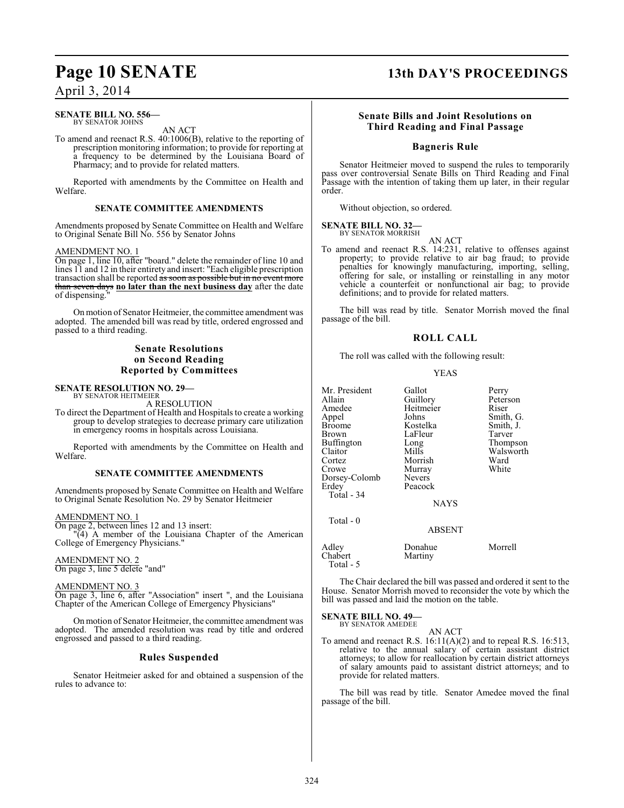#### **SENATE BILL NO. 556—** BY SENATOR JOHNS

AN ACT

To amend and reenact R.S. 40:1006(B), relative to the reporting of prescription monitoring information; to provide for reporting at a frequency to be determined by the Louisiana Board of Pharmacy; and to provide for related matters.

Reported with amendments by the Committee on Health and Welfare.

## **SENATE COMMITTEE AMENDMENTS**

Amendments proposed by Senate Committee on Health and Welfare to Original Senate Bill No. 556 by Senator Johns

#### AMENDMENT NO. 1

On page 1, line 10, after "board." delete the remainder of line 10 and lines 11 and 12 in their entirety and insert: "Each eligible prescription transaction shall be reported <del>as soon as possible but in no event more</del> than seven days **no later than the next business day** after the date of dispensing.

On motion of Senator Heitmeier, the committee amendment was adopted. The amended bill was read by title, ordered engrossed and passed to a third reading.

#### **Senate Resolutions on Second Reading Reported by Committees**

# **SENATE RESOLUTION NO. 29—** BY SENATOR HEITMEIER

A RESOLUTION

To direct the Department of Health and Hospitals to create a working group to develop strategies to decrease primary care utilization in emergency rooms in hospitals across Louisiana.

Reported with amendments by the Committee on Health and Welfare.

#### **SENATE COMMITTEE AMENDMENTS**

Amendments proposed by Senate Committee on Health and Welfare to Original Senate Resolution No. 29 by Senator Heitmeier

#### AMENDMENT NO. 1

On page 2, between lines 12 and 13 insert: "(4) A member of the Louisiana Chapter of the American College of Emergency Physicians."

AMENDMENT NO. 2 On page 3, line 5 delete "and"

AMENDMENT NO. 3

On page 3, line 6, after "Association" insert ", and the Louisiana Chapter of the American College of Emergency Physicians"

On motion of Senator Heitmeier, the committee amendment was adopted. The amended resolution was read by title and ordered engrossed and passed to a third reading.

#### **Rules Suspended**

Senator Heitmeier asked for and obtained a suspension of the rules to advance to:

# **Page 10 SENATE 13th DAY'S PROCEEDINGS**

### **Senate Bills and Joint Resolutions on Third Reading and Final Passage**

### **Bagneris Rule**

Senator Heitmeier moved to suspend the rules to temporarily pass over controversial Senate Bills on Third Reading and Final Passage with the intention of taking them up later, in their regular order.

Without objection, so ordered.

#### **SENATE BILL NO. 32—** BY SENATOR MORRISH

AN ACT

To amend and reenact R.S. 14:231, relative to offenses against property; to provide relative to air bag fraud; to provide penalties for knowingly manufacturing, importing, selling, offering for sale, or installing or reinstalling in any motor vehicle a counterfeit or nonfunctional air bag; to provide definitions; and to provide for related matters.

The bill was read by title. Senator Morrish moved the final passage of the bill.

#### **ROLL CALL**

The roll was called with the following result:

#### YEAS

| Mr. President<br>Allain<br>Amedee<br>Appel<br>Broome<br>Brown<br>Buffington<br>Claitor<br>Cortez<br>Crowe<br>Dorsey-Colomb<br>Erdev<br>Total - 34<br>Total - 0 | Gallot<br>Guillory<br>Heitmeier<br>Johns<br>Kostelka<br>LaFleur<br>Long<br>Mills<br>Morrish<br>Murray<br>Nevers<br>Peacock<br><b>NAYS</b> | Perry<br>Peterson<br>Riser<br>Smith, G.<br>Smith, J.<br>Tarver<br>Thompson<br>Walsworth<br>Ward<br>White |
|----------------------------------------------------------------------------------------------------------------------------------------------------------------|-------------------------------------------------------------------------------------------------------------------------------------------|----------------------------------------------------------------------------------------------------------|
|                                                                                                                                                                | <b>ABSENT</b>                                                                                                                             |                                                                                                          |
| Adlev<br>Chabert                                                                                                                                               | Donahue<br>Martiny                                                                                                                        | Morrell                                                                                                  |

The Chair declared the bill was passed and ordered it sent to the House. Senator Morrish moved to reconsider the vote by which the bill was passed and laid the motion on the table.

## **SENATE BILL NO. 49—**

Total - 5

BY SENATOR AMEDEE

AN ACT To amend and reenact R.S. 16:11(A)(2) and to repeal R.S. 16:513, relative to the annual salary of certain assistant district attorneys; to allow for reallocation by certain district attorneys of salary amounts paid to assistant district attorneys; and to provide for related matters.

The bill was read by title. Senator Amedee moved the final passage of the bill.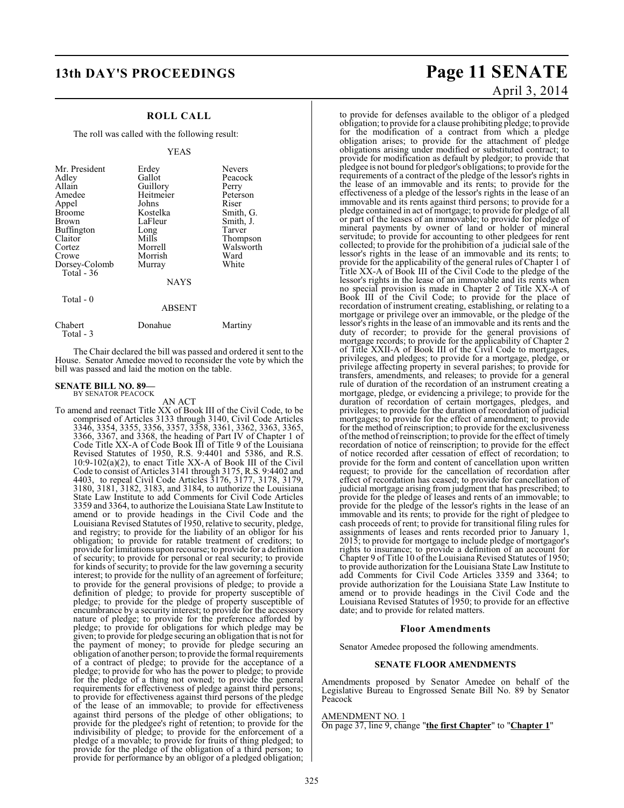## **ROLL CALL**

The roll was called with the following result:

#### YEAS

| Mr. President<br>Adley<br>Allain<br>Amedee<br>Appel<br><b>Broome</b><br><b>Brown</b><br>Buffington<br>Claitor<br>Cortez<br>Crowe<br>Dorsey-Colomb | Erdey<br>Gallot<br>Guillory<br>Heitmeier<br>Johns<br>Kostelka<br>LaFleur<br>Long<br>Mills<br>Morrell<br>Morrish<br>Murray | <b>Nevers</b><br>Peacock<br>Perry<br>Peterson<br>Riser<br>Smith, G.<br>Smith, J.<br>Tarver<br>Thompson<br>Walsworth<br>Ward<br>White |
|---------------------------------------------------------------------------------------------------------------------------------------------------|---------------------------------------------------------------------------------------------------------------------------|--------------------------------------------------------------------------------------------------------------------------------------|
| Total $-36$                                                                                                                                       | <b>NAYS</b>                                                                                                               |                                                                                                                                      |
| Total - 0                                                                                                                                         | ABSENT                                                                                                                    |                                                                                                                                      |

| Chabert<br>Total - 3 | Donahue | Martiny |
|----------------------|---------|---------|

The Chair declared the bill was passed and ordered it sent to the House. Senator Amedee moved to reconsider the vote by which the bill was passed and laid the motion on the table.

# **SENATE BILL NO. 89—** BY SENATOR PEACOCK

AN ACT

To amend and reenact Title XX of Book III of the Civil Code, to be comprised of Articles 3133 through 3140, Civil Code Articles 3346, 3354, 3355, 3356, 3357, 3358, 3361, 3362, 3363, 3365, 3366, 3367, and 3368, the heading of Part IV of Chapter 1 of Code Title XX-A of Code Book III of Title 9 of the Louisiana Revised Statutes of 1950, R.S. 9:4401 and 5386, and R.S. 10:9-102(a)(2), to enact Title XX-A of Book III of the Civil Code to consist of Articles 3141 through 3175, R.S. 9:4402 and 4403, to repeal Civil Code Articles 3176, 3177, 3178, 3179, 3180, 3181, 3182, 3183, and 3184, to authorize the Louisiana State Law Institute to add Comments for Civil Code Articles 3359 and 3364, to authorize the Louisiana State Law Institute to amend or to provide headings in the Civil Code and the Louisiana Revised Statutes of 1950, relative to security, pledge, and registry; to provide for the liability of an obligor for his obligation; to provide for ratable treatment of creditors; to provide for limitations upon recourse; to provide for a definition of security; to provide for personal or real security; to provide for kinds of security; to provide for the law governing a security interest; to provide for the nullity of an agreement of forfeiture; to provide for the general provisions of pledge; to provide a definition of pledge; to provide for property susceptible of pledge; to provide for the pledge of property susceptible of encumbrance by a security interest; to provide for the accessory nature of pledge; to provide for the preference afforded by pledge; to provide for obligations for which pledge may be given; to provide for pledge securing an obligation that is not for the payment of money; to provide for pledge securing an obligation of another person; to provide the formal requirements of a contract of pledge; to provide for the acceptance of a pledge; to provide for who has the power to pledge; to provide for the pledge of a thing not owned; to provide the general requirements for effectiveness of pledge against third persons; to provide for effectiveness against third persons of the pledge of the lease of an immovable; to provide for effectiveness against third persons of the pledge of other obligations; to provide for the pledgee's right of retention; to provide for the indivisibility of pledge; to provide for the enforcement of a pledge of a movable; to provide for fruits of thing pledged; to provide for the pledge of the obligation of a third person; to provide for performance by an obligor of a pledged obligation;

# **13th DAY'S PROCEEDINGS Page 11 SENATE** April 3, 2014

to provide for defenses available to the obligor of a pledged obligation; to provide for a clause prohibiting pledge; to provide for the modification of a contract from which a pledge obligation arises; to provide for the attachment of pledge obligations arising under modified or substituted contract; to provide for modification as default by pledgor; to provide that pledgee is not bound for pledgor's obligations; to provide for the requirements of a contract of the pledge of the lessor's rights in the lease of an immovable and its rents; to provide for the effectiveness of a pledge of the lessor's rights in the lease of an immovable and its rents against third persons; to provide for a pledge contained in act of mortgage; to provide for pledge of all or part of the leases of an immovable; to provide for pledge of mineral payments by owner of land or holder of mineral servitude; to provide for accounting to other pledgees for rent collected; to provide for the prohibition of a judicial sale of the lessor's rights in the lease of an immovable and its rents; to provide for the applicability of the general rules of Chapter 1 of Title XX-A of Book III of the Civil Code to the pledge of the lessor's rights in the lease of an immovable and its rents when no special provision is made in Chapter 2 of Title XX-A of Book III of the Civil Code; to provide for the place of recordation of instrument creating, establishing, or relating to a mortgage or privilege over an immovable, or the pledge of the lessor's rights in the lease of an immovable and its rents and the duty of recorder; to provide for the general provisions of mortgage records; to provide for the applicability of Chapter 2 of Title XXII-A of Book III of the Civil Code to mortgages, privileges, and pledges; to provide for a mortgage, pledge, or privilege affecting property in several parishes; to provide for transfers, amendments, and releases; to provide for a general rule of duration of the recordation of an instrument creating a mortgage, pledge, or evidencing a privilege; to provide for the duration of recordation of certain mortgages, pledges, and privileges; to provide for the duration of recordation of judicial mortgages; to provide for the effect of amendment; to provide for the method of reinscription; to provide for the exclusiveness of the method of reinscription; to provide for the effect of timely recordation of notice of reinscription; to provide for the effect of notice recorded after cessation of effect of recordation; to provide for the form and content of cancellation upon written request; to provide for the cancellation of recordation after effect of recordation has ceased; to provide for cancellation of judicial mortgage arising from judgment that has prescribed; to provide for the pledge of leases and rents of an immovable; to provide for the pledge of the lessor's rights in the lease of an immovable and its rents; to provide for the right of pledgee to cash proceeds of rent; to provide for transitional filing rules for assignments of leases and rents recorded prior to January 1, 2015; to provide for mortgage to include pledge of mortgagor's rights to insurance; to provide a definition of an account for Chapter 9 of Title 10 of the Louisiana Revised Statutes of 1950; to provide authorization for the Louisiana State Law Institute to add Comments for Civil Code Articles 3359 and 3364; to provide authorization for the Louisiana State Law Institute to amend or to provide headings in the Civil Code and the Louisiana Revised Statutes of 1950; to provide for an effective date; and to provide for related matters.

#### **Floor Amendments**

Senator Amedee proposed the following amendments.

#### **SENATE FLOOR AMENDMENTS**

Amendments proposed by Senator Amedee on behalf of the Legislative Bureau to Engrossed Senate Bill No. 89 by Senator Peacock

#### AMENDMENT NO. 1

On page 37, line 9, change "**the first Chapter**" to "**Chapter 1**"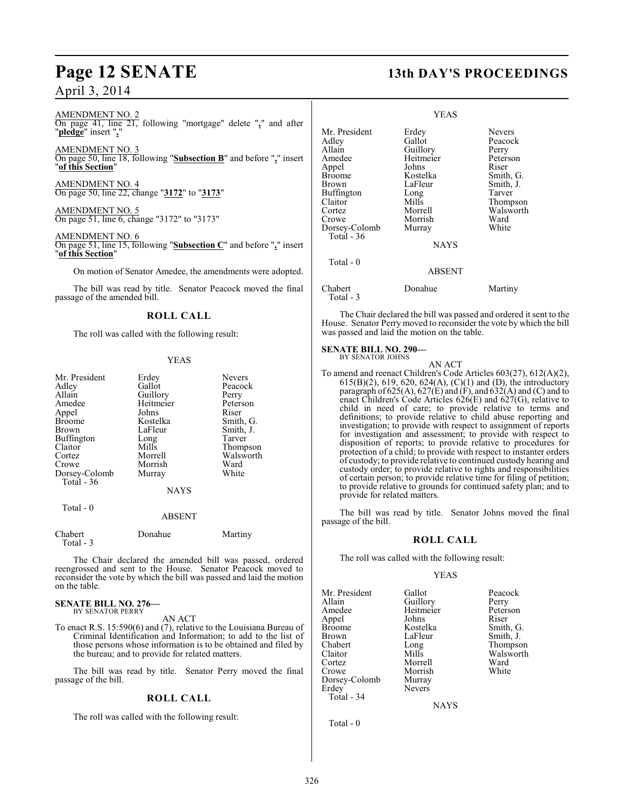AMENDMENT NO. 2 On page 41, line 21, following "mortgage" delete "**,**" and after "**pledge**" insert "**,**"

AMENDMENT NO. 3 On page 50, line 18, following "**Subsection B**" and before "**,**" insert "**of this Section**"

AMENDMENT NO. 4 On page 50, line 22, change "**3172**" to "**3173**"

AMENDMENT NO. 5 On page 51, line 6, change "3172" to "3173"

AMENDMENT NO. 6 On page 51, line 15, following "**Subsection C**" and before "**,**" insert "**of this Section**"

On motion of Senator Amedee, the amendments were adopted.

The bill was read by title. Senator Peacock moved the final passage of the amended bill.

#### **ROLL CALL**

The roll was called with the following result:

#### YEAS

| Mr. President | Erdey       | <b>Nevers</b> |
|---------------|-------------|---------------|
| Adley         | Gallot      | Peacock       |
| Allain        | Guillory    | Perry         |
| Amedee        | Heitmeier   | Peterson      |
| Appel         | Johns       | Riser         |
| <b>Broome</b> | Kostelka    | Smith, G.     |
| Brown         | LaFleur     | Smith, J.     |
| Buffington    | Long        | Tarver        |
| Claitor       | Mills       | Thompson      |
| Cortez        | Morrell     | Walsworth     |
| Crowe         | Morrish     | Ward          |
| Dorsey-Colomb | Murray      | White         |
| Total $-36$   |             |               |
|               | <b>NAYS</b> |               |
| Total - 0     |             |               |
|               | ABSENT      |               |

## Chabert Donahue Martiny Total - 3

The Chair declared the amended bill was passed, ordered reengrossed and sent to the House. Senator Peacock moved to reconsider the vote by which the bill was passed and laid the motion on the table.

#### **SENATE BILL NO. 276—** BY SENATOR PERRY

AN ACT

To enact R.S. 15:590(6) and (7), relative to the Louisiana Bureau of Criminal Identification and Information; to add to the list of those persons whose information is to be obtained and filed by the bureau; and to provide for related matters.

The bill was read by title. Senator Perry moved the final passage of the bill.

## **ROLL CALL**

The roll was called with the following result:

# **Page 12 SENATE 13th DAY'S PROCEEDINGS**

|                                                                                                                                                   | YEAS                                                                                                                                     |                                                                                                                                      |
|---------------------------------------------------------------------------------------------------------------------------------------------------|------------------------------------------------------------------------------------------------------------------------------------------|--------------------------------------------------------------------------------------------------------------------------------------|
| Mr. President<br>Adley<br>Allain<br>Amedee<br>Appel<br>Broome<br>Brown<br>Buffington<br>Claitor<br>Cortez<br>Crowe<br>Dorsey-Colomb<br>Total - 36 | Erdey<br>Gallot<br>Guillory<br>Heitmeier<br>Johns<br>Kostelka<br>LaFleur<br>Long<br>Mills<br>Morrell<br>Morrish<br>Murray<br><b>NAYS</b> | <b>Nevers</b><br>Peacock<br>Perry<br>Peterson<br>Riser<br>Smith, G.<br>Smith, J.<br>Tarver<br>Thompson<br>Walsworth<br>Ward<br>White |
| Total $-0$                                                                                                                                        | <b>ABSENT</b>                                                                                                                            |                                                                                                                                      |
| Chabert<br>Total - 3                                                                                                                              | Donahue                                                                                                                                  | Martiny                                                                                                                              |

The Chair declared the bill was passed and ordered it sent to the House. Senator Perry moved to reconsider the vote by which the bill was passed and laid the motion on the table.

#### **SENATE BILL NO. 290—** BY SENATOR JOHNS

AN ACT To amend and reenact Children's Code Articles 603(27), 612(A)(2), 615(B)(2), 619, 620, 624(A), (C)(1) and (D), the introductory paragraph of 625(A), 627(E) and (F), and 632(A) and (C) and to enact Children's Code Articles 626(E) and 627(G), relative to child in need of care; to provide relative to terms and definitions; to provide relative to child abuse reporting and investigation; to provide with respect to assignment of reports for investigation and assessment; to provide with respect to disposition of reports; to provide relative to procedures for protection of a child; to provide with respect to instanter orders of custody; to provide relative to continued custody hearing and custody order; to provide relative to rights and responsibilities of certain person; to provide relative time for filing of petition; to provide relative to grounds for continued safety plan; and to provide for related matters.

The bill was read by title. Senator Johns moved the final passage of the bill.

#### **ROLL CALL**

The roll was called with the following result:

#### YEAS

Mr. President Gallot Peacock<br>
Allain Guillory Perry Allain Guillory Perry Amedee Heitmeier Peterson<br>
Appel Johns Riser Appel Johns<br>Broome Kostelka Broome Kostelka Smith, G.<br>Brown LaFleur Smith, J. Brown LaFleur<br>Chabert Long Chabert Long Thompson Claitor Mills Walsworth Cortez Morrell Ward Dorsey-Colomb Murray<br>Erdey Nevers Total - 34

Morrish Nevers

**NAYS** 

Total - 0

326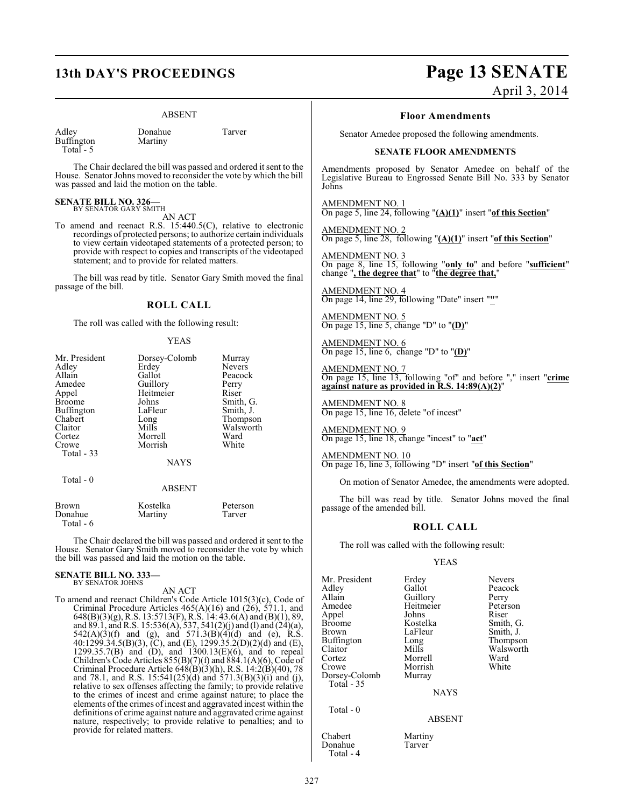#### ABSENT

| Adley      |  |
|------------|--|
| Buffington |  |
| Total -    |  |

Donahue Tarver Martiny

The Chair declared the bill was passed and ordered it sent to the House. Senator Johns moved to reconsider the vote by which the bill was passed and laid the motion on the table.

#### **SENATE BILL NO. 326—** BY SENATOR GARY SMITH

AN ACT

To amend and reenact R.S. 15:440.5(C), relative to electronic recordings of protected persons; to authorize certain individuals to view certain videotaped statements of a protected person; to provide with respect to copies and transcripts of the videotaped statement; and to provide for related matters.

The bill was read by title. Senator Gary Smith moved the final passage of the bill.

#### **ROLL CALL**

The roll was called with the following result:

#### YEAS

| Mr. President                                 | Dorsey-Colomb | Murray                                  |
|-----------------------------------------------|---------------|-----------------------------------------|
| Adley                                         | Erdey         | <b>Nevers</b>                           |
| Allain                                        | Gallot        | Peacock                                 |
| Amedee                                        | Guillory      | Perry                                   |
| Appel                                         | Heitmeier     | Riser                                   |
| <b>Broome</b>                                 | Johns         | Smith, G.                               |
| Buffington                                    | LaFleur       | Smith, J.                               |
| Chabert                                       | Long          | Thompson                                |
| Claitor                                       | Mills         | Walsworth                               |
| Cortez                                        | Morrell       | Ward                                    |
| Crowe                                         | Morrish       | White                                   |
| Total - 33                                    |               |                                         |
|                                               | <b>NAYS</b>   |                                         |
| Total $-0$                                    |               |                                         |
|                                               | <b>ABSENT</b> |                                         |
| $\mathbf{p}_{\mathbf{r} \alpha \mathbf{u} m}$ | $V$ ostalka   | $D_{\alpha t \alpha r \alpha \alpha n}$ |

| Brown     | Kostelka | Peterson |
|-----------|----------|----------|
| Donahue   | Martiny  | Tarver   |
| Total - 6 |          |          |

The Chair declared the bill was passed and ordered it sent to the House. Senator Gary Smith moved to reconsider the vote by which the bill was passed and laid the motion on the table.

#### **SENATE BILL NO. 333—** BY SENATOR JOHNS

AN ACT

To amend and reenact Children's Code Article 1015(3)(c), Code of Criminal Procedure Articles 465(A)(16) and (26), 571.1, and 648(B)(3)(g), R.S. 13:5713(F), R.S. 14: 43.6(A) and (B)(1), 89, and 89.1, and R.S. 15:536(A), 537, 541(2)(j) and (l) and (24)(a),  $542(A)(3)(f)$  and (g), and  $571.3(B)(4)(d)$  and (e), R.S. 40:1299.34.5(B)(3), (C), and (E), 1299.35.2(D)(2)(d) and (E), 1299.35.7(B) and (D), and 1300.13(E)(6), and to repeal Children's Code Articles 855(B)(7)(f) and 884.1(A)(6), Code of Criminal Procedure Article 648(B)(3)(h), R.S. 14:2(B)(40), 78 and 78.1, and R.S. 15:541(25)(d) and 571.3(B)(3)(i) and (j), relative to sex offenses affecting the family; to provide relative to the crimes of incest and crime against nature; to place the elements of the crimes of incest and aggravated incest within the definitions of crime against nature and aggravated crime against nature, respectively; to provide relative to penalties; and to provide for related matters.

# **13th DAY'S PROCEEDINGS Page 13 SENATE**

April 3, 2014

#### **Floor Amendments**

Senator Amedee proposed the following amendments.

#### **SENATE FLOOR AMENDMENTS**

Amendments proposed by Senator Amedee on behalf of the Legislative Bureau to Engrossed Senate Bill No. 333 by Senator Johns

AMENDMENT NO. 1 On page 5, line 24, following "**(A)(1)**" insert "**of this Section**"

AMENDMENT NO. 2 On page 5, line 28, following "**(A)(1)**" insert "**of this Section**"

AMENDMENT NO. 3 On page 8, line 15, following "**only to**" and before "**sufficient**" change "**, the degree that**" to "**the degree that,**"

AMENDMENT NO. 4 On page 14, line 29, following "Date" insert "**"**"

AMENDMENT NO. 5 On page 15, line 5, change "D" to "**(D)**"

AMENDMENT NO. 6 On page 15, line 6, change "D" to "**(D)**"

AMENDMENT NO. 7 On page 15, line 13, following "of" and before "," insert "**crime against nature as provided in R.S. 14:89(A)(2)**"

AMENDMENT NO. 8 On page 15, line 16, delete "of incest"

AMENDMENT NO. 9 On page 15, line 18, change "incest" to "**act**"

AMENDMENT NO. 10 On page 16, line 3, following "D" insert "**of this Section**"

On motion of Senator Amedee, the amendments were adopted.

The bill was read by title. Senator Johns moved the final passage of the amended bill.

#### **ROLL CALL**

The roll was called with the following result:

#### YEAS

| Mr. President<br>Adley<br>Allain<br>Amedee<br>Appel<br><b>Broome</b><br><b>Brown</b><br>Buffington<br>Claitor<br>Cortez<br>Crowe | Erdey<br>Gallot<br>Guillory<br>Heitmeier<br>Johns<br>Kostelka<br>LaFleur<br>Long<br>Mills<br>Morrell<br>Morrish | <b>Nevers</b><br>Peacock<br>Perry<br>Peterson<br>Riser<br>Smith, G.<br>Smith, J.<br>Thompson<br>Walsworth<br>Ward<br>White |
|----------------------------------------------------------------------------------------------------------------------------------|-----------------------------------------------------------------------------------------------------------------|----------------------------------------------------------------------------------------------------------------------------|
| Dorsey-Colomb<br>Total - 35                                                                                                      | Murray                                                                                                          |                                                                                                                            |
| Total - 0                                                                                                                        | <b>NAYS</b>                                                                                                     |                                                                                                                            |
|                                                                                                                                  | $\lambda$ DC $\Gamma\lambda$ $\Gamma\Gamma$                                                                     |                                                                                                                            |

Chabert Martiny<br>
Donahue Tarver Total - 4

ABSENT

Donahue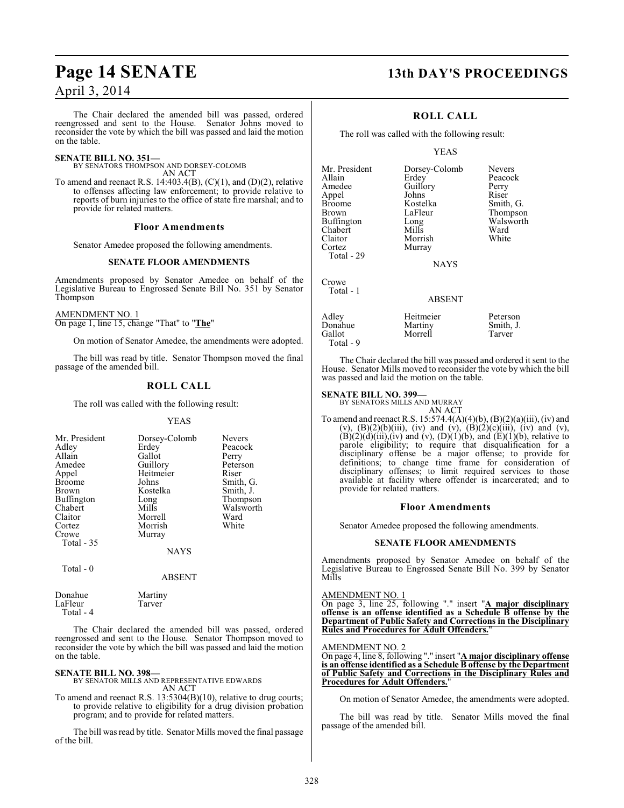# **Page 14 SENATE 13th DAY'S PROCEEDINGS**

## April 3, 2014

The Chair declared the amended bill was passed, ordered reengrossed and sent to the House. Senator Johns moved to reconsider the vote by which the bill was passed and laid the motion on the table.

#### **SENATE BILL NO. 351—**

BY SENATORS THOMPSON AND DORSEY-COLOMB

AN ACT To amend and reenact R.S. 14:403.4(B),  $(C)(1)$ , and  $(D)(2)$ , relative to offenses affecting law enforcement; to provide relative to reports of burn injuries to the office of state fire marshal; and to provide for related matters.

#### **Floor Amendments**

Senator Amedee proposed the following amendments.

#### **SENATE FLOOR AMENDMENTS**

Amendments proposed by Senator Amedee on behalf of the Legislative Bureau to Engrossed Senate Bill No. 351 by Senator Thompson

#### AMENDMENT NO. 1

On page 1, line 15, change "That" to "**The**"

On motion of Senator Amedee, the amendments were adopted.

The bill was read by title. Senator Thompson moved the final passage of the amended bill.

#### **ROLL CALL**

The roll was called with the following result:

#### YEAS

| Mr. President | Dorsey-Colomb | <b>Nevers</b> |
|---------------|---------------|---------------|
| Adley         | Erdey         | Peacock       |
| Allain        | Gallot        | Perry         |
| Amedee        | Guillory      | Peterson      |
| Appel         | Heitmeier     | Riser         |
| <b>Broome</b> | Johns         | Smith, G.     |
| Brown         | Kostelka      | Smith, J.     |
| Buffington    | Long          | Thompson      |
| Chabert       | Mills         | Walsworth     |
| Claitor       | Morrell       | Ward          |
| Cortez        | Morrish       | White         |
| Crowe         | Murray        |               |
| Total - 35    |               |               |
|               | <b>NAYS</b>   |               |
| Total - 0     |               |               |

#### ABSENT

Donahue Martiny<br>LaFleur Tarver LaFleur Total - 4

The Chair declared the amended bill was passed, ordered reengrossed and sent to the House. Senator Thompson moved to reconsider the vote by which the bill was passed and laid the motion on the table.

## **SENATE BILL NO. 398—**

BY SENATOR MILLS AND REPRESENTATIVE EDWARDS AN ACT

To amend and reenact R.S. 13:5304(B)(10), relative to drug courts; to provide relative to eligibility for a drug division probation program; and to provide for related matters.

The bill was read by title. Senator Mills moved the final passage of the bill.

### **ROLL CALL**

The roll was called with the following result:

#### YEAS

Mr. President Dorsey-Colomb Nevers<br>Allain Erdey Peacoc Allain Erdey Peacock<br>Amedee Guillory Perry Appel Johns<br>Broome Kostelka Broome Kostelka Smith, G.<br>Brown LaFleur Thompson Buffington Long Walsworth Long<br>Chabert Mills Ward Chabert Mills Ward<br>Claitor Morrish White Claitor Morrish<br>Cortez Murray Total - 29

Crowe Total - 1 Guillory Perry<br>Johns Riser LaFleur Thompson<br>Long Walsworth

**NAYS** 

## ABSENT

| Adley<br>Donahue | Heitmeier<br>Martiny | Peterson<br>Smith, J. |
|------------------|----------------------|-----------------------|
| Gallot           | Morrell              | Tarver                |
| Total - 9        |                      |                       |

Murray

The Chair declared the bill was passed and ordered it sent to the House. Senator Mills moved to reconsider the vote by which the bill was passed and laid the motion on the table.

**SENATE BILL NO. 399—** BY SENATORS MILLS AND MURRAY

AN ACT To amend and reenact R.S. 15:574.4(A)(4)(b), (B)(2)(a)(iii), (iv) and (v),  $(B)(2)(b)(iii)$ , (iv) and (v),  $(B)(2)(c)(iii)$ , (iv) and (v),  $(B)(2)(d)(iii)$ , (iv) and (v),  $(D)(1)(b)$ , and  $(E)(1)(b)$ , relative to parole eligibility; to require that disqualification for a disciplinary offense be a major offense; to provide for definitions; to change time frame for consideration of disciplinary offenses; to limit required services to those available at facility where offender is incarcerated; and to provide for related matters.

#### **Floor Amendments**

Senator Amedee proposed the following amendments.

#### **SENATE FLOOR AMENDMENTS**

Amendments proposed by Senator Amedee on behalf of the Legislative Bureau to Engrossed Senate Bill No. 399 by Senator Mills

AMENDMENT NO. 1

On page 3, line 25, following "." insert "**A major disciplinary offense is an offense identified as a Schedule B offense by the Department of Public Safety and Corrections in the Disciplinary Rules and Procedures for Adult Offenders.**"

AMENDMENT NO. 2

On page 4, line 8, following "." insert "**A major disciplinary offense is an offense identified as a Schedule B offense by the Department of Public Safety and Corrections in the Disciplinary Rules and Procedures for Adult Offenders.** 

On motion of Senator Amedee, the amendments were adopted.

The bill was read by title. Senator Mills moved the final passage of the amended bill.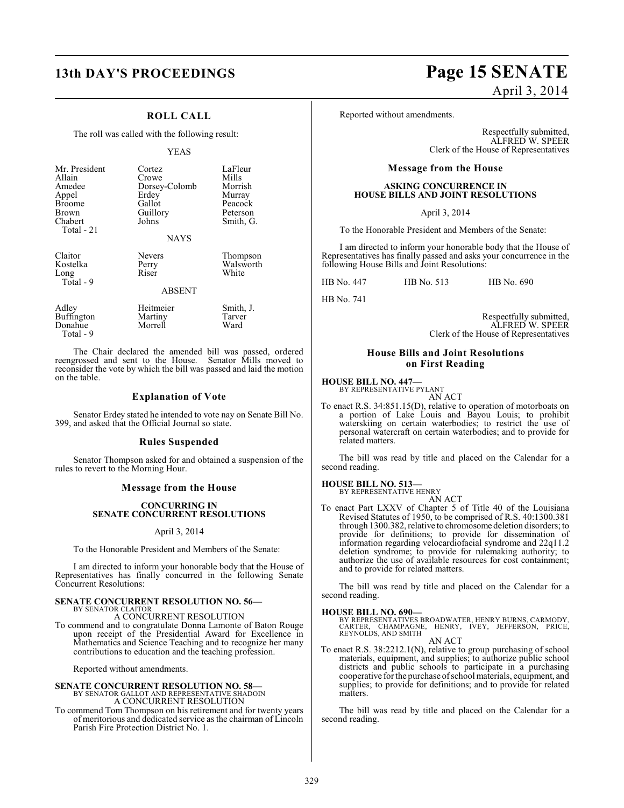### **ROLL CALL**

The roll was called with the following result:

#### YEAS

| Mr. President<br>Allain<br>Amedee<br>Appel<br><b>Broome</b><br>Brown<br>Chabert<br>Total - 21 | Cortez<br>Crowe<br>Dorsey-Colomb<br>Erdey<br>Gallot<br>Guillory<br>Johns<br><b>NAYS</b> | LaFleur<br>Mills<br>Morrish<br>Murray<br>Peacock<br>Peterson<br>Smith, G. |
|-----------------------------------------------------------------------------------------------|-----------------------------------------------------------------------------------------|---------------------------------------------------------------------------|
| Claitor<br>Kostelka<br>Long<br>Total - 9                                                      | <b>Nevers</b><br>Perry<br>Riser<br><b>ABSENT</b>                                        | Thompson<br>Walsworth<br>White                                            |
| Adley<br><b>Buffington</b><br>Donahue                                                         | Heitmeier<br>Martiny<br>Morrell                                                         | Smith, J.<br>Tarver<br>Ward                                               |

Total - 9

The Chair declared the amended bill was passed, ordered reengrossed and sent to the House. Senator Mills moved to reconsider the vote by which the bill was passed and laid the motion on the table.

#### **Explanation of Vote**

Senator Erdey stated he intended to vote nay on Senate Bill No. 399, and asked that the Official Journal so state.

#### **Rules Suspended**

Senator Thompson asked for and obtained a suspension of the rules to revert to the Morning Hour.

#### **Message from the House**

#### **CONCURRING IN SENATE CONCURRENT RESOLUTIONS**

#### April 3, 2014

To the Honorable President and Members of the Senate:

I am directed to inform your honorable body that the House of Representatives has finally concurred in the following Senate Concurrent Resolutions:

# **SENATE CONCURRENT RESOLUTION NO. 56—** BY SENATOR CLAITOR

A CONCURRENT RESOLUTION

To commend and to congratulate Donna Lamonte of Baton Rouge upon receipt of the Presidential Award for Excellence in Mathematics and Science Teaching and to recognize her many contributions to education and the teaching profession.

Reported without amendments.

# **SENATE CONCURRENT RESOLUTION NO. 58—**<br>BY SENATOR GALLOT AND REPRESENTATIVE SHADOIN A CONCURRENT RESOLUTION

To commend Tom Thompson on his retirement and for twenty years of meritorious and dedicated service as the chairman of Lincoln Parish Fire Protection District No. 1.

# **13th DAY'S PROCEEDINGS Page 15 SENATE** April 3, 2014

Reported without amendments.

Respectfully submitted, ALFRED W. SPEER Clerk of the House of Representatives

#### **Message from the House**

#### **ASKING CONCURRENCE IN HOUSE BILLS AND JOINT RESOLUTIONS**

April 3, 2014

To the Honorable President and Members of the Senate:

I am directed to inform your honorable body that the House of Representatives has finally passed and asks your concurrence in the following House Bills and Joint Resolutions:

HB No. 447 HB No. 513 HB No. 690

HB No. 741

Respectfully submitted, ALFRED W. SPEER Clerk of the House of Representatives

#### **House Bills and Joint Resolutions on First Reading**

# **HOUSE BILL NO. 447—** BY REPRESENTATIVE PYLANT

AN ACT

To enact R.S. 34:851.15(D), relative to operation of motorboats on a portion of Lake Louis and Bayou Louis; to prohibit waterskiing on certain waterbodies; to restrict the use of personal watercraft on certain waterbodies; and to provide for related matters.

The bill was read by title and placed on the Calendar for a second reading.

#### **HOUSE BILL NO. 513—**

BY REPRESENTATIVE HENRY AN ACT

To enact Part LXXV of Chapter 5 of Title 40 of the Louisiana Revised Statutes of 1950, to be comprised of R.S. 40:1300.381 through 1300.382, relative to chromosome deletion disorders; to provide for definitions; to provide for dissemination of information regarding velocardiofacial syndrome and 22q11.2 deletion syndrome; to provide for rulemaking authority; to authorize the use of available resources for cost containment; and to provide for related matters.

The bill was read by title and placed on the Calendar for a second reading.

**HOUSE BILL NO. 690—**<br>BY REPRESENTATIVES BROADWATER, HENRY BURNS, CARMODY,<br>CARTER, CHAMPAGNE, HENRY, IVEY, JEFFERSON, PRICE,<br>REYNOLDS, AND SMITH AN ACT

To enact R.S. 38:2212.1(N), relative to group purchasing of school materials, equipment, and supplies; to authorize public school districts and public schools to participate in a purchasing cooperative for the purchase of school materials, equipment, and

supplies; to provide for definitions; and to provide for related

matters. The bill was read by title and placed on the Calendar for a second reading.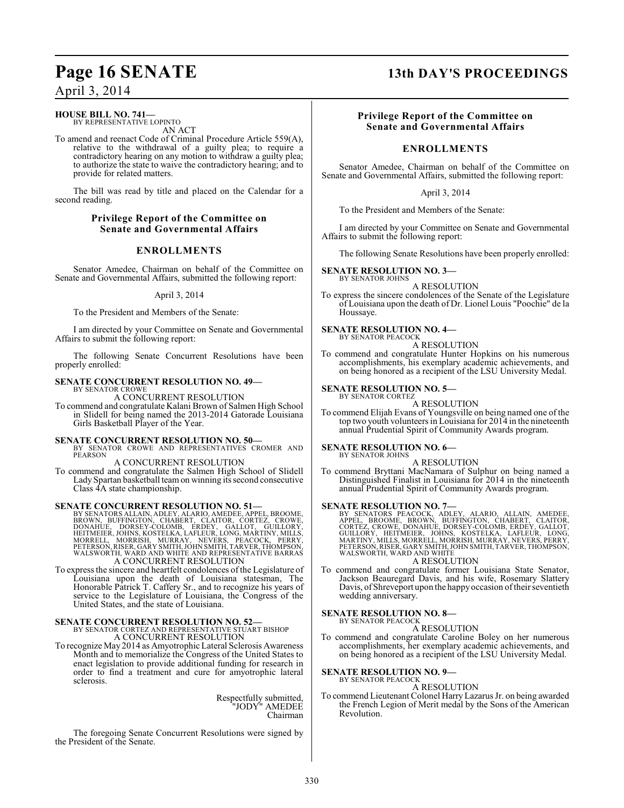## **HOUSE BILL NO. 741—**

BY REPRESENTATIVE LOPINTO AN ACT

To amend and reenact Code of Criminal Procedure Article 559(A), relative to the withdrawal of a guilty plea; to require a contradictory hearing on any motion to withdraw a guilty plea; to authorize the state to waive the contradictory hearing; and to provide for related matters.

The bill was read by title and placed on the Calendar for a second reading.

#### **Privilege Report of the Committee on Senate and Governmental Affairs**

### **ENROLLMENTS**

Senator Amedee, Chairman on behalf of the Committee on Senate and Governmental Affairs, submitted the following report:

#### April 3, 2014

To the President and Members of the Senate:

I am directed by your Committee on Senate and Governmental Affairs to submit the following report:

The following Senate Concurrent Resolutions have been properly enrolled:

### **SENATE CONCURRENT RESOLUTION NO. 49—**

BY SENATOR CROWE A CONCURRENT RESOLUTION

To commend and congratulate Kalani Brown of Salmen High School in Slidell for being named the 2013-2014 Gatorade Louisiana Girls Basketball Player of the Year.

#### **SENATE CONCURRENT RESOLUTION NO. 50—**

BY SENATOR CROWE AND REPRESENTATIVES CROMER AND PEARSON

A CONCURRENT RESOLUTION

To commend and congratulate the Salmen High School of Slidell Lady Spartan basketball team on winning its second consecutive Class 4A state championship.

#### **SENATE CONCURRENT RESOLUTION NO. 51—**

BY SENATORS ALLAIN, ADLEY, ALARIO, AMEDEE, APPEL, BROOME,<br>BROWN, BUFFINGTON, CHABERT, CLAITOR, CORTEZ, CROWE,<br>DONAHUE, DORSEY-COLOMB, ERDEY, GALLOT, GUILLORY,<br>HEITMEIER, JOHNS, KOSTELKA, LAFLEUR, LONG, MARTINY, MILLS,<br>MORR A CONCURRENT RESOLUTION

To express the sincere and heartfelt condolences of the Legislature of Louisiana upon the death of Louisiana statesman, The Honorable Patrick T. Caffery Sr., and to recognize his years of service to the Legislature of Louisiana, the Congress of the United States, and the state of Louisiana.

## **SENATE CONCURRENT RESOLUTION NO. 52—** BY SENATOR CORTEZ AND REPRESENTATIVE STUART BISHOP A CONCURRENT RESOLUTION

To recognize May 2014 as Amyotrophic Lateral Sclerosis Awareness Month and to memorialize the Congress of the United States to enact legislation to provide additional funding for research in order to find a treatment and cure for amyotrophic lateral sclerosis.

> Respectfully submitted, "JODY" AMEDEE Chairman

The foregoing Senate Concurrent Resolutions were signed by the President of the Senate.

# **Page 16 SENATE 13th DAY'S PROCEEDINGS**

### **Privilege Report of the Committee on Senate and Governmental Affairs**

## **ENROLLMENTS**

Senator Amedee, Chairman on behalf of the Committee on Senate and Governmental Affairs, submitted the following report:

April 3, 2014

To the President and Members of the Senate:

I am directed by your Committee on Senate and Governmental Affairs to submit the following report:

The following Senate Resolutions have been properly enrolled:

## **SENATE RESOLUTION NO. 3—**

BY SENATOR JOHNS A RESOLUTION

To express the sincere condolences of the Senate of the Legislature of Louisiana upon the death of Dr. Lionel Louis "Poochie" de la Houssaye.

#### **SENATE RESOLUTION NO. 4—** BY SENATOR PEACOCK

A RESOLUTION

To commend and congratulate Hunter Hopkins on his numerous accomplishments, his exemplary academic achievements, and on being honored as a recipient of the LSU University Medal.

#### **SENATE RESOLUTION NO. 5—** BY SENATOR CORTEZ

A RESOLUTION

To commend Elijah Evans of Youngsville on being named one of the top two youth volunteers in Louisiana for 2014 in the nineteenth annual Prudential Spirit of Community Awards program.

#### **SENATE RESOLUTION NO. 6—** BY SENATOR JOHNS

A RESOLUTION

To commend Bryttani MacNamara of Sulphur on being named a Distinguished Finalist in Louisiana for 2014 in the nineteenth annual Prudential Spirit of Community Awards program.

#### **SENATE RESOLUTION NO. 7—**

BY SENATORS PEACOCK, ADLEY, ALARIO, ALLAIN, AMEDEE,<br>APPEL, BROOME, BROWN, BUFFINGTON, CHABERT, CLAITOR,<br>CORTEZ, CROWE, DONAHUE, DORSEY-COLOMB, ERDEY, GALLOT,<br>GUILLORY, HEITMEIER, JOHNS, KOSTELKA, LAFLEUR, LONG,<br>MARTINY, MI

## A RESOLUTION

To commend and congratulate former Louisiana State Senator, Jackson Beauregard Davis, and his wife, Rosemary Slattery Davis, of Shreveport upon the happy occasion of their seventieth wedding anniversary.

#### **SENATE RESOLUTION NO. 8—**

BY SENATOR PEACOCK A RESOLUTION

To commend and congratulate Caroline Boley on her numerous accomplishments, her exemplary academic achievements, and on being honored as a recipient of the LSU University Medal.

# **SENATE RESOLUTION NO. 9—**<br>BY SENATOR PEACOCK

A RESOLUTION

To commend Lieutenant Colonel Harry Lazarus Jr. on being awarded the French Legion of Merit medal by the Sons of the American Revolution.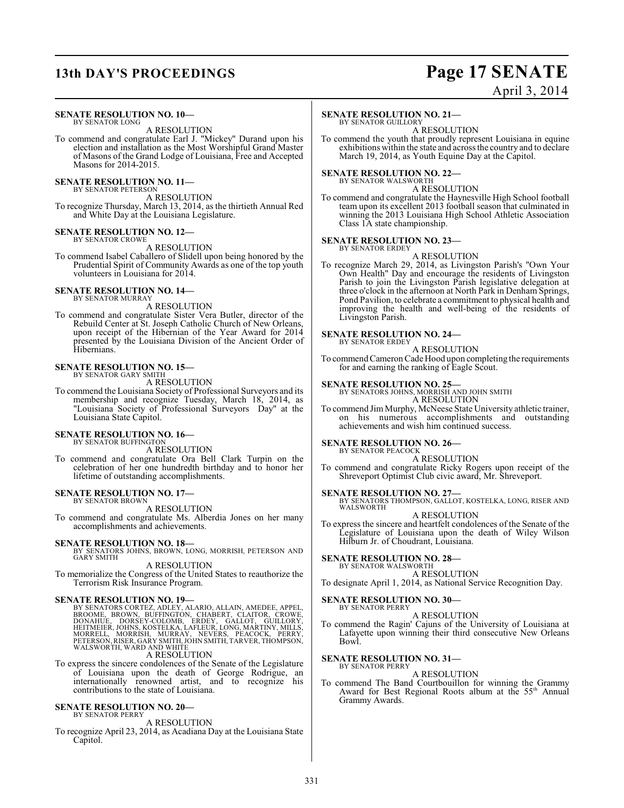# **13th DAY'S PROCEEDINGS Page 17 SENATE**

## April 3, 2014

#### **SENATE RESOLUTION NO. 10—** BY SENATOR LONG

A RESOLUTION

To commend and congratulate Earl J. "Mickey" Durand upon his election and installation as the Most Worshipful Grand Master of Masons of the Grand Lodge of Louisiana, Free and Accepted Masons for 2014-2015.

### **SENATE RESOLUTION NO. 11—**

BY SENATOR PETERSON A RESOLUTION

To recognize Thursday, March 13, 2014, as the thirtieth Annual Red and White Day at the Louisiana Legislature.

#### **SENATE RESOLUTION NO. 12—**

BY SENATOR CROWE

A RESOLUTION To commend Isabel Caballero of Slidell upon being honored by the Prudential Spirit of Community Awards as one of the top youth volunteers in Louisiana for 2014.

#### **SENATE RESOLUTION NO. 14—** BY SENATOR MURRAY

## A RESOLUTION

To commend and congratulate Sister Vera Butler, director of the Rebuild Center at St. Joseph Catholic Church of New Orleans, upon receipt of the Hibernian of the Year Award for 2014 presented by the Louisiana Division of the Ancient Order of Hibernians.

## **SENATE RESOLUTION NO. 15—**

BY SENATOR GARY SMITH A RESOLUTION

To commend the Louisiana Society of Professional Surveyors and its membership and recognize Tuesday, March 18, 2014, as "Louisiana Society of Professional Surveyors Day" at the Louisiana State Capitol.

#### **SENATE RESOLUTION NO. 16—** BY SENATOR BUFFINGTON

A RESOLUTION

To commend and congratulate Ora Bell Clark Turpin on the celebration of her one hundredth birthday and to honor her lifetime of outstanding accomplishments.

#### **SENATE RESOLUTION NO. 17—** BY SENATOR BROWN

A RESOLUTION

To commend and congratulate Ms. Alberdia Jones on her many accomplishments and achievements.

**SENATE RESOLUTION NO. 18—**<br>BY SENATORS JOHNS, BROWN, LONG, MORRISH, PETERSON AND<br>GARY SMITH A RESOLUTION

To memorialize the Congress of the United States to reauthorize the Terrorism Risk Insurance Program.

#### **SENATE RESOLUTION NO. 19—**

BY SENATORS CORTEZ, ADLEY, ALARIO, ALLAIN, AMEDEE, APPEL,<br>BROOME, BROWN, BUFFINGTON, CHABERT, CLAITOR, CROWE,<br>DONAHUE, DORSEY-COLOMB, ERDEY, GALLOT, GUILLORY,<br>HEITMEIER, JOHNS, KOSTELKA, LAFLEUR, LONG, MARTINY, MILLS,<br>MORR

### A RESOLUTION

To express the sincere condolences of the Senate of the Legislature of Louisiana upon the death of George Rodrigue, an internationally renowned artist, and to recognize his contributions to the state of Louisiana.

#### **SENATE RESOLUTION NO. 20—** BY SENATOR PERRY

A RESOLUTION

To recognize April 23, 2014, as Acadiana Day at the Louisiana State Capitol.

#### **SENATE RESOLUTION NO. 21—**

BY SENATOR GUILLORY A RESOLUTION

To commend the youth that proudly represent Louisiana in equine exhibitions within the state and across the country and to declare March 19, 2014, as Youth Equine Day at the Capitol.

# **SENATE RESOLUTION NO. 22—**<br>BY SENATOR WALSWORTH

A RESOLUTION

To commend and congratulate the Haynesville High School football team upon its excellent 2013 football season that culminated in winning the 2013 Louisiana High School Athletic Association Class 1A state championship.

#### **SENATE RESOLUTION NO. 23—** BY SENATOR ERDEY

## A RESOLUTION

To recognize March 29, 2014, as Livingston Parish's "Own Your Own Health" Day and encourage the residents of Livingston Parish to join the Livingston Parish legislative delegation at three o'clock in the afternoon at North Park in Denham Springs, Pond Pavilion, to celebrate a commitment to physical health and improving the health and well-being of the residents of Livingston Parish.

#### **SENATE RESOLUTION NO. 24—** BY SENATOR ERDEY

A RESOLUTION

To commend Cameron Cade Hood upon completing the requirements for and earning the ranking of Eagle Scout.

#### **SENATE RESOLUTION NO. 25—**

BY SENATORS JOHNS, MORRISH AND JOHN SMITH A RESOLUTION

To commend Jim Murphy, McNeese State University athletic trainer, on his numerous accomplishments and outstanding achievements and wish him continued success.

#### **SENATE RESOLUTION NO. 26—** BY SENATOR PEACOCK

A RESOLUTION

To commend and congratulate Ricky Rogers upon receipt of the Shreveport Optimist Club civic award, Mr. Shreveport.

#### **SENATE RESOLUTION NO. 27—**

BY SENATORS THOMPSON, GALLOT, KOSTELKA, LONG, RISER AND WALSWORTH

### A RESOLUTION

To express the sincere and heartfelt condolences of the Senate of the Legislature of Louisiana upon the death of Wiley Wilson Hilburn Jr. of Choudrant, Louisiana.

## **SENATE RESOLUTION NO. 28—**

BY SENATOR WALSWORTH A RESOLUTION

To designate April 1, 2014, as National Service Recognition Day.

## **SENATE RESOLUTION NO. 30—**

BY SENATOR PERRY A RESOLUTION

To commend the Ragin' Cajuns of the University of Louisiana at Lafayette upon winning their third consecutive New Orleans Bowl.

#### **SENATE RESOLUTION NO. 31—** BY SENATOR PERRY

A RESOLUTION

To commend The Band Courtbouillon for winning the Grammy Award for Best Regional Roots album at the 55<sup>th</sup> Annual Grammy Awards.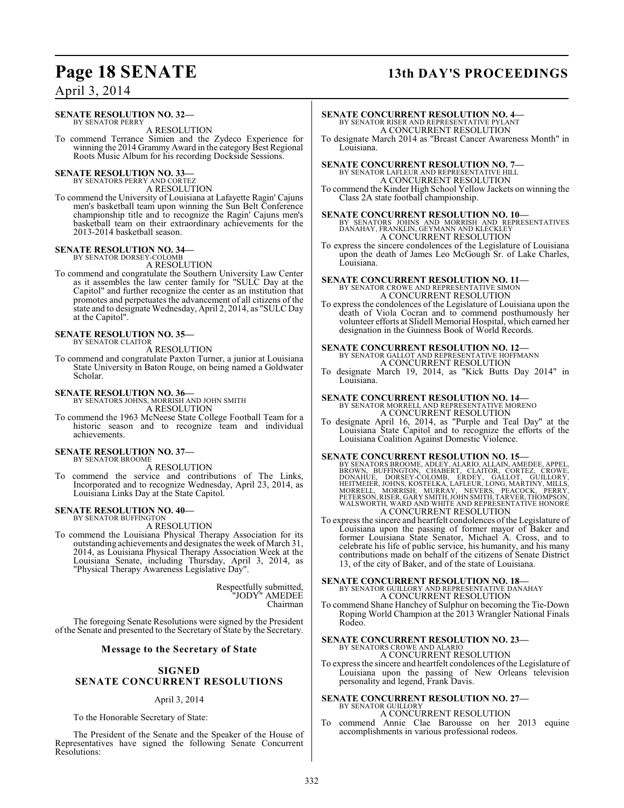#### **SENATE RESOLUTION NO. 32—** BY SENATOR PERRY

A RESOLUTION

To commend Terrance Simien and the Zydeco Experience for winning the 2014 Grammy Award in the category Best Regional Roots Music Album for his recording Dockside Sessions.

# **SENATE RESOLUTION NO. 33—** BY SENATORS PERRY AND CORTEZ

A RESOLUTION

To commend the University of Louisiana at Lafayette Ragin' Cajuns men's basketball team upon winning the Sun Belt Conference championship title and to recognize the Ragin' Cajuns men's basketball team on their extraordinary achievements for the 2013-2014 basketball season.

# **SENATE RESOLUTION NO. 34—** BY SENATOR DORSEY-COLOMB

A RESOLUTION

To commend and congratulate the Southern University Law Center as it assembles the law center family for "SULC Day at the Capitol" and further recognize the center as an institution that promotes and perpetuates the advancement of all citizens of the state and to designate Wednesday, April 2, 2014, as "SULC Day at the Capitol".

#### **SENATE RESOLUTION NO. 35—** BY SENATOR CLAITOR

A RESOLUTION

To commend and congratulate Paxton Turner, a junior at Louisiana State University in Baton Rouge, on being named a Goldwater Scholar.

#### **SENATE RESOLUTION NO. 36—**

BY SENATORS JOHNS, MORRISH AND JOHN SMITH

A RESOLUTION

To commend the 1963 McNeese State College Football Team for a historic season and to recognize team and individual achievements.

#### **SENATE RESOLUTION NO. 37—** BY SENATOR BROOME

A RESOLUTION

To commend the service and contributions of The Links, Incorporated and to recognize Wednesday, April 23, 2014, as Louisiana Links Day at the State Capitol.

#### **SENATE RESOLUTION NO. 40—** BY SENATOR BUFFINGTON

A RESOLUTION

To commend the Louisiana Physical Therapy Association for its outstanding achievements and designates the week of March 31, 2014, as Louisiana Physical Therapy Association Week at the Louisiana Senate, including Thursday, April 3, 2014, as "Physical Therapy Awareness Legislative Day".

> Respectfully submitted, "JODY" AMEDEE Chairman

The foregoing Senate Resolutions were signed by the President of the Senate and presented to the Secretary of State by the Secretary.

#### **Message to the Secretary of State**

#### **SIGNED SENATE CONCURRENT RESOLUTIONS**

#### April 3, 2014

To the Honorable Secretary of State:

The President of the Senate and the Speaker of the House of Representatives have signed the following Senate Concurrent Resolutions:

# **Page 18 SENATE 13th DAY'S PROCEEDINGS**

## **SENATE CONCURRENT RESOLUTION NO. 4—** BY SENATOR RISER AND REPRESENTATIVE PYLANT A CONCURRENT RESOLUTION

To designate March 2014 as "Breast Cancer Awareness Month" in Louisiana.

#### **SENATE CONCURRENT RESOLUTION NO. 7—** BY SENATOR LAFLEUR AND REPRESENTATIVE HILL A CONCURRENT RESOLUTION

To commend the Kinder High School Yellow Jackets on winning the Class 2A state football championship.

**SENATE CONCURRENT RESOLUTION NO. 10—** BY SENATORS JOHNS AND MORRISH AND REPRESENTATIVES DANAHAY, FRANKLIN, GEYMANN AND KLECKLEY A CONCURRENT RESOLUTION

To express the sincere condolences of the Legislature of Louisiana upon the death of James Leo McGough Sr. of Lake Charles, Louisiana.

#### **SENATE CONCURRENT RESOLUTION NO. 11—** BY SENATOR CROWE AND REPRESENTATIVE SIMON

A CONCURRENT RESOLUTION

To express the condolences of the Legislature of Louisiana upon the death of Viola Cocran and to commend posthumously her volunteer efforts at Slidell Memorial Hospital, which earned her designation in the Guinness Book of World Records.

#### **SENATE CONCURRENT RESOLUTION NO. 12—** BY SENATOR GALLOT AND REPRESENTATIVE HOFFMANN A CONCURRENT RESOLUTION

To designate March 19, 2014, as "Kick Butts Day 2014" in Louisiana.

# **SENATE CONCURRENT RESOLUTION NO. 14—**<br>BY SENATOR MORRELL AND REPRESENTATIVE MORENO A CONCURRENT RESOLUTION

To designate April 16, 2014, as "Purple and Teal Day" at the Louisiana State Capitol and to recognize the efforts of the Louisiana Coalition Against Domestic Violence.

#### **SENATE CONCURRENT RESOLUTION NO. 15—**

BY SENATORS BROOME, ADLEY, ALARIO, ALLAIN, AMEDEE, APPEL,<br>BROWN, BUFFINGTON, CHABERT, CLAITOR, CORTEZ, CROWE,<br>DONAHUE, DORSEY-COLOMB, ERDEY, GALLOT, GUILLORY,<br>HEITMEIER, JOHNS, KOSTELKA, LAFLEUR, LONG, MARTINY, MILLS,<br>MORR A CONCURRENT RESOLUTION

To express the sincere and heartfelt condolences of the Legislature of Louisiana upon the passing of former mayor of Baker and former Louisiana State Senator, Michael A. Cross, and to celebrate his life of public service, his humanity, and his many contributions made on behalf of the citizens of Senate District 13, of the city of Baker, and of the state of Louisiana.

# **SENATE CONCURRENT RESOLUTION NO. 18—**<br>BY SENATOR GUILLORY AND REPRESENTATIVE DANAHAY A CONCURRENT RESOLUTION

To commend Shane Hanchey of Sulphur on becoming the Tie-Down Roping World Champion at the 2013 Wrangler National Finals Rodeo.

# **SENATE CONCURRENT RESOLUTION NO. 23—**<br>BY SENATORS CROWE AND ALARIO<br>A CONCURRENT RESOLUTION

To express the sincere and heartfelt condolences of the Legislature of Louisiana upon the passing of New Orleans television personality and legend, Frank Davis.

#### **SENATE CONCURRENT RESOLUTION NO. 27—** BY SENATOR GUILLORY

A CONCURRENT RESOLUTION

To commend Annie Clae Barousse on her 2013 equine accomplishments in various professional rodeos.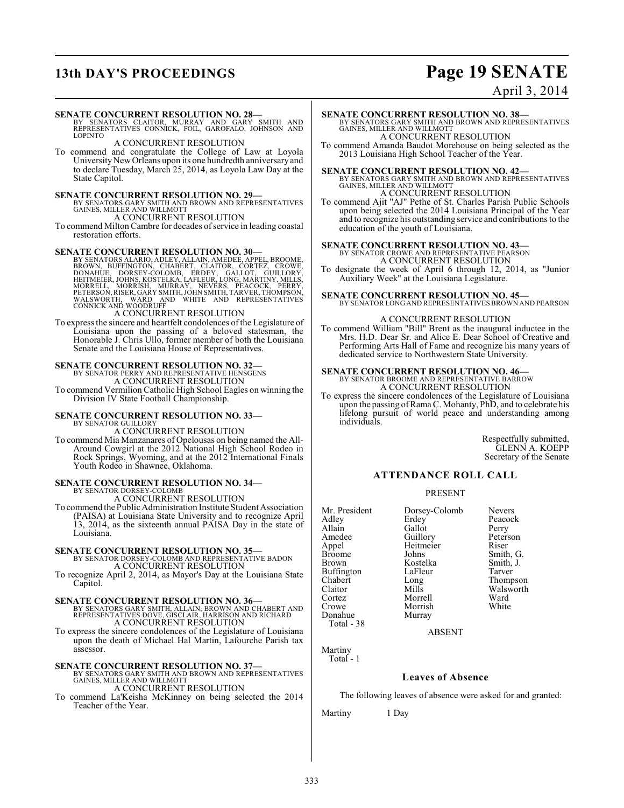# **13th DAY'S PROCEEDINGS Page 19 SENATE**

## April 3, 2014

**SENATE CONCURRENT RESOLUTION NO. 28**<br>BY SENATORS CLAITOR, MURRAY AND GARY SMITH AND<br>REPRESENTATIVES CONNICK, FOIL, GAROFALO, JOHNSON AND LOPINTO

A CONCURRENT RESOLUTION

To commend and congratulate the College of Law at Loyola University New Orleans upon its one hundredth anniversary and to declare Tuesday, March 25, 2014, as Loyola Law Day at the State Capitol.

**SENATE CONCURRENT RESOLUTION NO. 29—BY SENATORS GARY SMITH AND BROWN AND REPRESENTATIVES**<br>GAINES, MILLER AND WILLMOTT A CONCURRENT RESOLUTION

To commend Milton Cambre for decades of service in leading coastal restoration efforts.

## **SENATE CONCURRENT RESOLUTION NO. 30—**

BY SENATORS ALARIO, ADLEY, ALLAIN, AMEDEE, APPEL, BROWN, BUFFINGTON, CHABERT, CLAITOR, CORTEZ, CROWE,<br>BOONAHUE, DORSEY-COLOMB, ERDEY, GALLOT, GUILLORY,<br>HEITMEIER, JOHNS, KOSTELKA, LAFLEUR, LONG, MARTINY, MILLS,<br>MORRELL, MO

To express the sincere and heartfelt condolences of the Legislature of Louisiana upon the passing of a beloved statesman, the Honorable J. Chris Ullo, former member of both the Louisiana Senate and the Louisiana House of Representatives.

# **SENATE CONCURRENT RESOLUTION NO. 32—**<br>BY SENATOR PERRY AND REPRESENTATIVE HENSGENS A CONCURRENT RESOLUTION

To commend Vermilion Catholic High School Eagles on winning the Division IV State Football Championship.

#### **SENATE CONCURRENT RESOLUTION NO. 33—** BY SENATOR GUILLORY

A CONCURRENT RESOLUTION

To commend Mia Manzanares of Opelousas on being named the All-Around Cowgirl at the 2012 National High School Rodeo in Rock Springs, Wyoming, and at the 2012 International Finals Youth Rodeo in Shawnee, Oklahoma.

#### **SENATE CONCURRENT RESOLUTION NO. 34—** BY SENATOR DORSEY-COLOMB

A CONCURRENT RESOLUTION

To commend the Public Administration Institute Student Association (PAISA) at Louisiana State University and to recognize April 13, 2014, as the sixteenth annual PAISA Day in the state of Louisiana.

# **SENATE CONCURRENT RESOLUTION NO. 35—** BY SENATOR DORSEY-COLOMB AND REPRESENTATIVE BADON

A CONCURRENT RESOLUTION

To recognize April 2, 2014, as Mayor's Day at the Louisiana State Capitol.

#### **SENATE CONCURRENT RESOLUTION NO. 36—**

BY SENATORS GARY SMITH, ALLAIN, BROWN AND CHABERT AND REPRESENTATIVES DOVE, GISCLAIR, HARRISON AND RICHARD A CONCURRENT RESOLUTION

To express the sincere condolences of the Legislature of Louisiana upon the death of Michael Hal Martin, Lafourche Parish tax assessor.

**SENATE CONCURRENT RESOLUTION NO. 37—BY SENATORS GARY SMITH AND BROWN AND REPRESENTATIVES**<br>GAINES, MILLER AND WILLMOTT A CONCURRENT RESOLUTION

#### To commend La'Keisha McKinney on being selected the 2014 Teacher of the Year.

**SENATE CONCURRENT RESOLUTION NO. 38—** BY SENATORS GARY SMITH AND BROWN AND REPRESENTATIVES GAINES, MILLER AND WILLMOTT

A CONCURRENT RESOLUTION

To commend Amanda Baudot Morehouse on being selected as the 2013 Louisiana High School Teacher of the Year.

**SENATE CONCURRENT RESOLUTION NO. 42—**<br>BY SENATORS GARY SMITH AND BROWN AND REPRESENTATIVES<br>GAINES, MILLER AND WILLMOTT A CONCURRENT RESOLUTION

To commend Ajit "AJ" Pethe of St. Charles Parish Public Schools upon being selected the 2014 Louisiana Principal of the Year and to recognize his outstanding service and contributions to the education of the youth of Louisiana.

# **SENATE CONCURRENT RESOLUTION NO. 43—**<br>BY SENATOR CROWE AND REPRESENTATIVE PEARSON A CONCURRENT RESOLUTION

To designate the week of April 6 through 12, 2014, as "Junior Auxiliary Week" at the Louisiana Legislature.

**SENATE CONCURRENT RESOLUTION NO. 45—** BY SENATOR LONG AND REPRESENTATIVES BROWN AND PEARSON

#### A CONCURRENT RESOLUTION

To commend William "Bill" Brent as the inaugural inductee in the Mrs. H.D. Dear Sr. and Alice E. Dear School of Creative and Performing Arts Hall of Fame and recognize his many years of dedicated service to Northwestern State University.

#### **SENATE CONCURRENT RESOLUTION NO. 46—** BY SENATOR BROOME AND REPRESENTATIVE BARROW A CONCURRENT RESOLUTION

To express the sincere condolences of the Legislature of Louisiana upon the passing of Rama C. Mohanty, PhD, and to celebrate his lifelong pursuit of world peace and understanding among individuals.

> Respectfully submitted, GLENN A. KOEPP Secretary of the Senate

#### **ATTENDANCE ROLL CALL**

#### PRESENT

Mr. President Dorsey-Colomb Nevers<br>Adley Erdey Peacoc Adley Erdey Peacock<br>Allain Gallot Perry Allain Gallot Perry<br>
Amedee Guillory Peterson Amedee Guillory Peters<br>
Appel Heitmeier Riser Appel Heitmeier<br>Broome Johns Broome Johns Smith, G.<br>Brown Kostelka Smith, J. Buffington Chabert Long Thompson Claitor Mills Walsworth Cortez Morrell Ward Crowe Morrish<br>
Donahue Murray Total - 38

Kostelka Smith,<br>LaFleur Tarver

#### ABSENT

Murray

Martiny Total - 1

#### **Leaves of Absence**

The following leaves of absence were asked for and granted:

Martiny 1 Day